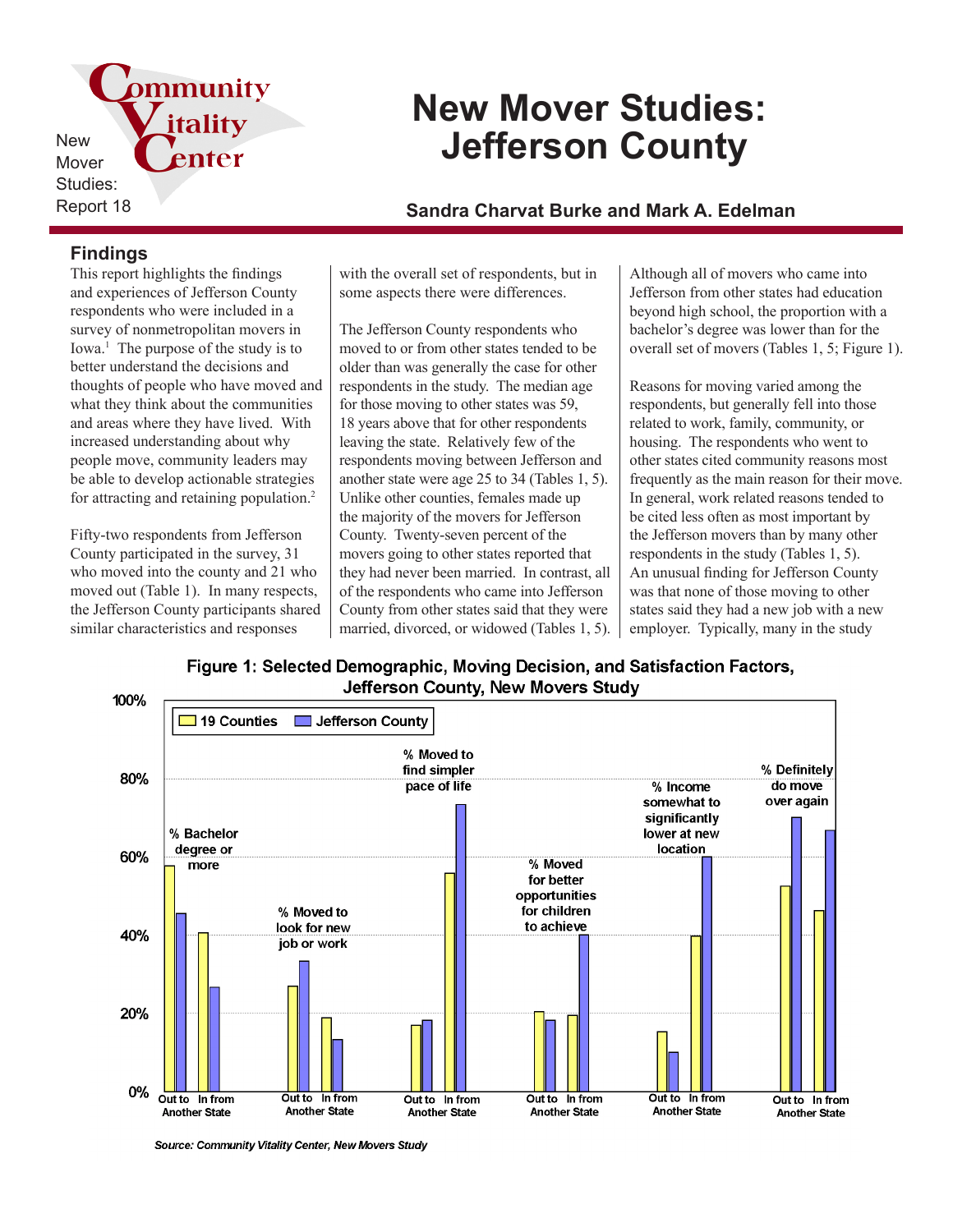

# **New Mover Studies: Jefferson County**

Report 18 **Sandra Charvat Burke and Mark A. Edelman**

## **Findings**

This report highlights the findings and experiences of Jefferson County respondents who were included in a survey of nonmetropolitan movers in Iowa.<sup>1</sup> The purpose of the study is to better understand the decisions and thoughts of people who have moved and what they think about the communities and areas where they have lived. With increased understanding about why people move, community leaders may be able to develop actionable strategies for attracting and retaining population.<sup>2</sup>

Fifty-two respondents from Jefferson County participated in the survey, 31 who moved into the county and 21 who moved out (Table 1). In many respects, the Jefferson County participants shared similar characteristics and responses

with the overall set of respondents, but in some aspects there were differences.

The Jefferson County respondents who moved to or from other states tended to be older than was generally the case for other respondents in the study. The median age for those moving to other states was 59, 18 years above that for other respondents leaving the state. Relatively few of the respondents moving between Jefferson and another state were age 25 to 34 (Tables 1, 5). Unlike other counties, females made up the majority of the movers for Jefferson County. Twenty-seven percent of the movers going to other states reported that they had never been married. In contrast, all of the respondents who came into Jefferson County from other states said that they were married, divorced, or widowed (Tables 1, 5).

Although all of movers who came into Jefferson from other states had education beyond high school, the proportion with a bachelor's degree was lower than for the overall set of movers (Tables 1, 5; Figure 1).

Reasons for moving varied among the respondents, but generally fell into those related to work, family, community, or housing. The respondents who went to other states cited community reasons most frequently as the main reason for their move. In general, work related reasons tended to be cited less often as most important by the Jefferson movers than by many other respondents in the study (Tables 1, 5). An unusual finding for Jefferson County was that none of those moving to other states said they had a new job with a new employer. Typically, many in the study

Figure 1: Selected Demographic, Moving Decision, and Satisfaction Factors, Jefferson County, New Movers Study



Source: Community Vitality Center, New Movers Study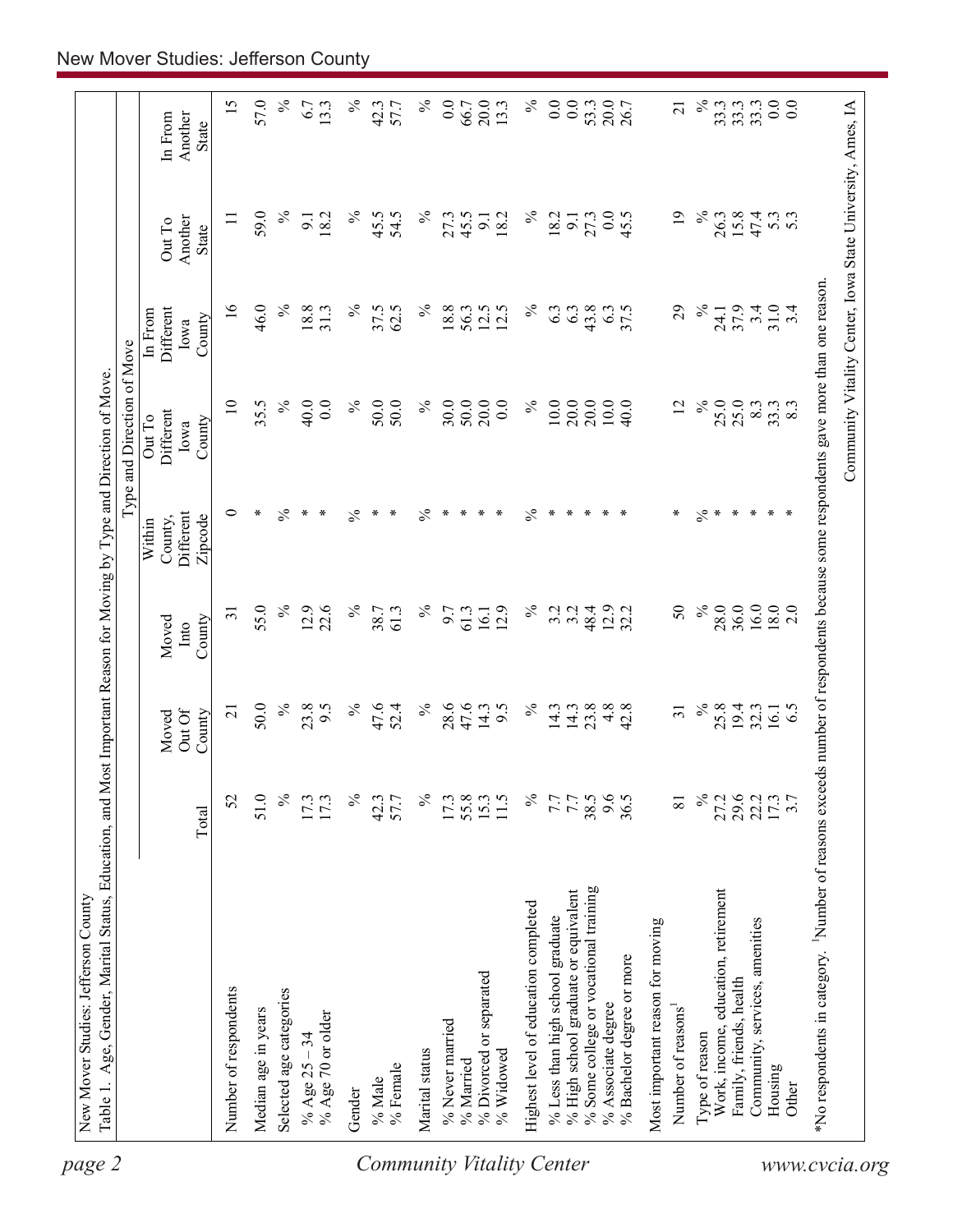| $\overline{10}$<br>$\%$<br>$\%$<br>20.0<br>$\%$<br>10.0<br>20.0<br>20.0<br>10.0<br>$\%$<br>25.0<br>25.0<br>35.5<br>40.0<br>$\%$<br>30.0<br>50.0<br>$0.0\,$<br>40.0<br>$\overline{2}$<br>8.3<br>$0.0\,$<br>50.0<br>50.0<br>33.3<br>8.3<br>Different<br>Out To<br>County<br>Iowa<br>∗<br>$\%$<br>$\%$<br>$\ast$<br>$\%$<br>$\ast$<br>$\ast$<br>$\ast$<br>$\%$<br>$\ast$<br>$\ast$<br>0<br>$\ast$<br>$\ast$<br>$\frac{5}{6}$<br>∗<br>$\ast$<br>$\ast$<br>$\ast$<br>$\ast$<br>∗<br>⋇<br>∗<br>$\ast$<br>$\ast$<br>$\ast$<br>Different<br>Zipcode<br>County,<br>Within<br>55.0<br>$\%$<br>$\%$<br>$\%$<br>$\%$<br>16.0<br>$18.0$<br>2.0<br>12.9<br>22.6<br>$\%$<br>3.2<br>48.4<br>12.9<br>50<br>28.0<br>36.0<br>12.9<br>3.2<br>32.2<br>$\overline{31}$<br>38.7<br>61.3<br>9.7<br>61.3<br>16.1<br>County<br>Moved<br>Into<br>$\%$<br>$\%$<br>23.8<br>$\%$<br>47.6<br>$\%$<br>28.6<br>47.6<br>$\%$<br>23.8<br>4.8<br>50.0<br>9.5<br>52.4<br>14.3<br>9.5<br>14.3<br>14.3<br>42.8<br>25.8<br>19.4<br>6.5<br>$\overline{31}$<br>32.3<br>$\overline{21}$<br>16.1<br>Out Of<br>Moved<br>County<br>$\%$<br>℅<br>$\%$<br>$\%$<br>38.5<br>9.6<br>36.5<br>$\%$<br>27.2<br>29.6<br>22.2<br>52<br>51.0<br>17.3<br>55.8<br>7.7<br>7.7<br>17.3<br>42.3<br>57.7<br>$15.3$<br>$11.5$<br>3.7<br>$\overline{8}$<br>Total<br>% Some college or vocational training<br>Work, income, education, retirement<br>% High school graduate or equivalent<br>Highest level of education completed<br>% Less than high school graduate<br>Community, services, amenities<br>Most important reason for moving<br>% Bachelor degree or more<br>% Divorced or separated<br>Family, friends, health<br>Number of respondents<br>Selected age categories<br>% Associate degree<br>Number of reasons<br>Median age in years<br>% Age 70 or older<br>% Never married<br>Type of reason<br>% Age $25 - 34$<br>Marital status<br>% Widowed<br>% Married<br>% Female<br>Housing<br>% Male<br>Other<br>Gender | page 2 | Table 1. Age, Gender, Marital Status, Education, and Most Important Reason for Moving by Type and Direction of Move. |  |  | Type and Direction of Move |                                        |                                   |                             |
|-----------------------------------------------------------------------------------------------------------------------------------------------------------------------------------------------------------------------------------------------------------------------------------------------------------------------------------------------------------------------------------------------------------------------------------------------------------------------------------------------------------------------------------------------------------------------------------------------------------------------------------------------------------------------------------------------------------------------------------------------------------------------------------------------------------------------------------------------------------------------------------------------------------------------------------------------------------------------------------------------------------------------------------------------------------------------------------------------------------------------------------------------------------------------------------------------------------------------------------------------------------------------------------------------------------------------------------------------------------------------------------------------------------------------------------------------------------------------------------------------------------------------------------------------------------------------------------------------------------------------------------------------------------------------------------------------------------------------------------------------------------------------------------------------------------------------------------------------------------------------------------------------------------------------------------------------------------------|--------|----------------------------------------------------------------------------------------------------------------------|--|--|----------------------------|----------------------------------------|-----------------------------------|-----------------------------|
|                                                                                                                                                                                                                                                                                                                                                                                                                                                                                                                                                                                                                                                                                                                                                                                                                                                                                                                                                                                                                                                                                                                                                                                                                                                                                                                                                                                                                                                                                                                                                                                                                                                                                                                                                                                                                                                                                                                                                                 |        |                                                                                                                      |  |  |                            | Different<br>In From<br>County<br>Iowa | Another<br>Out To<br><b>State</b> | In From<br>Another<br>State |
|                                                                                                                                                                                                                                                                                                                                                                                                                                                                                                                                                                                                                                                                                                                                                                                                                                                                                                                                                                                                                                                                                                                                                                                                                                                                                                                                                                                                                                                                                                                                                                                                                                                                                                                                                                                                                                                                                                                                                                 |        |                                                                                                                      |  |  |                            | $\frac{8}{1}$                          | $\equiv$                          | 15                          |
|                                                                                                                                                                                                                                                                                                                                                                                                                                                                                                                                                                                                                                                                                                                                                                                                                                                                                                                                                                                                                                                                                                                                                                                                                                                                                                                                                                                                                                                                                                                                                                                                                                                                                                                                                                                                                                                                                                                                                                 |        |                                                                                                                      |  |  |                            |                                        |                                   |                             |
| <b>Community Vitality Center</b>                                                                                                                                                                                                                                                                                                                                                                                                                                                                                                                                                                                                                                                                                                                                                                                                                                                                                                                                                                                                                                                                                                                                                                                                                                                                                                                                                                                                                                                                                                                                                                                                                                                                                                                                                                                                                                                                                                                                |        |                                                                                                                      |  |  |                            | 46.0                                   | 59.0                              | 57.0                        |
|                                                                                                                                                                                                                                                                                                                                                                                                                                                                                                                                                                                                                                                                                                                                                                                                                                                                                                                                                                                                                                                                                                                                                                                                                                                                                                                                                                                                                                                                                                                                                                                                                                                                                                                                                                                                                                                                                                                                                                 |        |                                                                                                                      |  |  |                            | $\%$                                   | $\%$                              | $\%$                        |
|                                                                                                                                                                                                                                                                                                                                                                                                                                                                                                                                                                                                                                                                                                                                                                                                                                                                                                                                                                                                                                                                                                                                                                                                                                                                                                                                                                                                                                                                                                                                                                                                                                                                                                                                                                                                                                                                                                                                                                 |        |                                                                                                                      |  |  |                            | 18.8<br>31.3                           | 18.2<br>$\overline{5}$            | 6.7<br>13.3                 |
|                                                                                                                                                                                                                                                                                                                                                                                                                                                                                                                                                                                                                                                                                                                                                                                                                                                                                                                                                                                                                                                                                                                                                                                                                                                                                                                                                                                                                                                                                                                                                                                                                                                                                                                                                                                                                                                                                                                                                                 |        |                                                                                                                      |  |  |                            | $\%$                                   | $\%$                              | $\%$                        |
|                                                                                                                                                                                                                                                                                                                                                                                                                                                                                                                                                                                                                                                                                                                                                                                                                                                                                                                                                                                                                                                                                                                                                                                                                                                                                                                                                                                                                                                                                                                                                                                                                                                                                                                                                                                                                                                                                                                                                                 |        |                                                                                                                      |  |  |                            | 37.5                                   | 45.5                              | 42.3                        |
|                                                                                                                                                                                                                                                                                                                                                                                                                                                                                                                                                                                                                                                                                                                                                                                                                                                                                                                                                                                                                                                                                                                                                                                                                                                                                                                                                                                                                                                                                                                                                                                                                                                                                                                                                                                                                                                                                                                                                                 |        |                                                                                                                      |  |  |                            | 62.5                                   | 54.5                              | 57.7                        |
|                                                                                                                                                                                                                                                                                                                                                                                                                                                                                                                                                                                                                                                                                                                                                                                                                                                                                                                                                                                                                                                                                                                                                                                                                                                                                                                                                                                                                                                                                                                                                                                                                                                                                                                                                                                                                                                                                                                                                                 |        |                                                                                                                      |  |  |                            | $\%$                                   | $\%$                              | $\%$                        |
|                                                                                                                                                                                                                                                                                                                                                                                                                                                                                                                                                                                                                                                                                                                                                                                                                                                                                                                                                                                                                                                                                                                                                                                                                                                                                                                                                                                                                                                                                                                                                                                                                                                                                                                                                                                                                                                                                                                                                                 |        |                                                                                                                      |  |  |                            | 18.8                                   | 27.3                              | 0.0                         |
|                                                                                                                                                                                                                                                                                                                                                                                                                                                                                                                                                                                                                                                                                                                                                                                                                                                                                                                                                                                                                                                                                                                                                                                                                                                                                                                                                                                                                                                                                                                                                                                                                                                                                                                                                                                                                                                                                                                                                                 |        |                                                                                                                      |  |  |                            | 56.3                                   | 45.5                              | 66.7                        |
|                                                                                                                                                                                                                                                                                                                                                                                                                                                                                                                                                                                                                                                                                                                                                                                                                                                                                                                                                                                                                                                                                                                                                                                                                                                                                                                                                                                                                                                                                                                                                                                                                                                                                                                                                                                                                                                                                                                                                                 |        |                                                                                                                      |  |  |                            | 12.5                                   | $\overline{9}$                    | 20.0                        |
|                                                                                                                                                                                                                                                                                                                                                                                                                                                                                                                                                                                                                                                                                                                                                                                                                                                                                                                                                                                                                                                                                                                                                                                                                                                                                                                                                                                                                                                                                                                                                                                                                                                                                                                                                                                                                                                                                                                                                                 |        |                                                                                                                      |  |  |                            | 12.5                                   | 18.2                              | 13.3                        |
|                                                                                                                                                                                                                                                                                                                                                                                                                                                                                                                                                                                                                                                                                                                                                                                                                                                                                                                                                                                                                                                                                                                                                                                                                                                                                                                                                                                                                                                                                                                                                                                                                                                                                                                                                                                                                                                                                                                                                                 |        |                                                                                                                      |  |  |                            | $\%$                                   | $\%$                              | $\%$                        |
|                                                                                                                                                                                                                                                                                                                                                                                                                                                                                                                                                                                                                                                                                                                                                                                                                                                                                                                                                                                                                                                                                                                                                                                                                                                                                                                                                                                                                                                                                                                                                                                                                                                                                                                                                                                                                                                                                                                                                                 |        |                                                                                                                      |  |  |                            | 6.3                                    | 18.2                              | 0.0                         |
|                                                                                                                                                                                                                                                                                                                                                                                                                                                                                                                                                                                                                                                                                                                                                                                                                                                                                                                                                                                                                                                                                                                                                                                                                                                                                                                                                                                                                                                                                                                                                                                                                                                                                                                                                                                                                                                                                                                                                                 |        |                                                                                                                      |  |  |                            | 6.3                                    | 9.1                               | $0.0\,$                     |
|                                                                                                                                                                                                                                                                                                                                                                                                                                                                                                                                                                                                                                                                                                                                                                                                                                                                                                                                                                                                                                                                                                                                                                                                                                                                                                                                                                                                                                                                                                                                                                                                                                                                                                                                                                                                                                                                                                                                                                 |        |                                                                                                                      |  |  |                            | 43.8                                   | 27.3                              | 53.3                        |
|                                                                                                                                                                                                                                                                                                                                                                                                                                                                                                                                                                                                                                                                                                                                                                                                                                                                                                                                                                                                                                                                                                                                                                                                                                                                                                                                                                                                                                                                                                                                                                                                                                                                                                                                                                                                                                                                                                                                                                 |        |                                                                                                                      |  |  |                            | 6.3                                    | 0.0                               | 20.0                        |
|                                                                                                                                                                                                                                                                                                                                                                                                                                                                                                                                                                                                                                                                                                                                                                                                                                                                                                                                                                                                                                                                                                                                                                                                                                                                                                                                                                                                                                                                                                                                                                                                                                                                                                                                                                                                                                                                                                                                                                 |        |                                                                                                                      |  |  |                            | 37.5                                   | 45.5                              | 26.7                        |
|                                                                                                                                                                                                                                                                                                                                                                                                                                                                                                                                                                                                                                                                                                                                                                                                                                                                                                                                                                                                                                                                                                                                                                                                                                                                                                                                                                                                                                                                                                                                                                                                                                                                                                                                                                                                                                                                                                                                                                 |        |                                                                                                                      |  |  |                            |                                        |                                   |                             |
| www.cvcia.org                                                                                                                                                                                                                                                                                                                                                                                                                                                                                                                                                                                                                                                                                                                                                                                                                                                                                                                                                                                                                                                                                                                                                                                                                                                                                                                                                                                                                                                                                                                                                                                                                                                                                                                                                                                                                                                                                                                                                   |        |                                                                                                                      |  |  |                            | 29                                     | $\overline{19}$                   | $\overline{c}$              |
|                                                                                                                                                                                                                                                                                                                                                                                                                                                                                                                                                                                                                                                                                                                                                                                                                                                                                                                                                                                                                                                                                                                                                                                                                                                                                                                                                                                                                                                                                                                                                                                                                                                                                                                                                                                                                                                                                                                                                                 |        |                                                                                                                      |  |  |                            | $\%$                                   | $\%$                              | $\%$                        |
|                                                                                                                                                                                                                                                                                                                                                                                                                                                                                                                                                                                                                                                                                                                                                                                                                                                                                                                                                                                                                                                                                                                                                                                                                                                                                                                                                                                                                                                                                                                                                                                                                                                                                                                                                                                                                                                                                                                                                                 |        |                                                                                                                      |  |  |                            | 24.1                                   | 26.3                              | 33.3                        |
|                                                                                                                                                                                                                                                                                                                                                                                                                                                                                                                                                                                                                                                                                                                                                                                                                                                                                                                                                                                                                                                                                                                                                                                                                                                                                                                                                                                                                                                                                                                                                                                                                                                                                                                                                                                                                                                                                                                                                                 |        |                                                                                                                      |  |  |                            | 37.9                                   | 15.8                              | 33.3                        |
|                                                                                                                                                                                                                                                                                                                                                                                                                                                                                                                                                                                                                                                                                                                                                                                                                                                                                                                                                                                                                                                                                                                                                                                                                                                                                                                                                                                                                                                                                                                                                                                                                                                                                                                                                                                                                                                                                                                                                                 |        |                                                                                                                      |  |  |                            | 3.4                                    | 47.4                              | 33.3                        |
|                                                                                                                                                                                                                                                                                                                                                                                                                                                                                                                                                                                                                                                                                                                                                                                                                                                                                                                                                                                                                                                                                                                                                                                                                                                                                                                                                                                                                                                                                                                                                                                                                                                                                                                                                                                                                                                                                                                                                                 |        |                                                                                                                      |  |  |                            | 31.0                                   | $5.\overline{3}$                  | 0.0                         |
|                                                                                                                                                                                                                                                                                                                                                                                                                                                                                                                                                                                                                                                                                                                                                                                                                                                                                                                                                                                                                                                                                                                                                                                                                                                                                                                                                                                                                                                                                                                                                                                                                                                                                                                                                                                                                                                                                                                                                                 |        |                                                                                                                      |  |  |                            | 3.4                                    |                                   | 0.0                         |
| *No respondents in category. <sup>1</sup> Number of reasons exceeds number of respondents because some respondents gave more than one reason.                                                                                                                                                                                                                                                                                                                                                                                                                                                                                                                                                                                                                                                                                                                                                                                                                                                                                                                                                                                                                                                                                                                                                                                                                                                                                                                                                                                                                                                                                                                                                                                                                                                                                                                                                                                                                   |        |                                                                                                                      |  |  |                            |                                        |                                   |                             |
| Community Vitality Center, Iowa State University, Ames, IA                                                                                                                                                                                                                                                                                                                                                                                                                                                                                                                                                                                                                                                                                                                                                                                                                                                                                                                                                                                                                                                                                                                                                                                                                                                                                                                                                                                                                                                                                                                                                                                                                                                                                                                                                                                                                                                                                                      |        |                                                                                                                      |  |  |                            |                                        |                                   |                             |
|                                                                                                                                                                                                                                                                                                                                                                                                                                                                                                                                                                                                                                                                                                                                                                                                                                                                                                                                                                                                                                                                                                                                                                                                                                                                                                                                                                                                                                                                                                                                                                                                                                                                                                                                                                                                                                                                                                                                                                 |        |                                                                                                                      |  |  |                            |                                        |                                   |                             |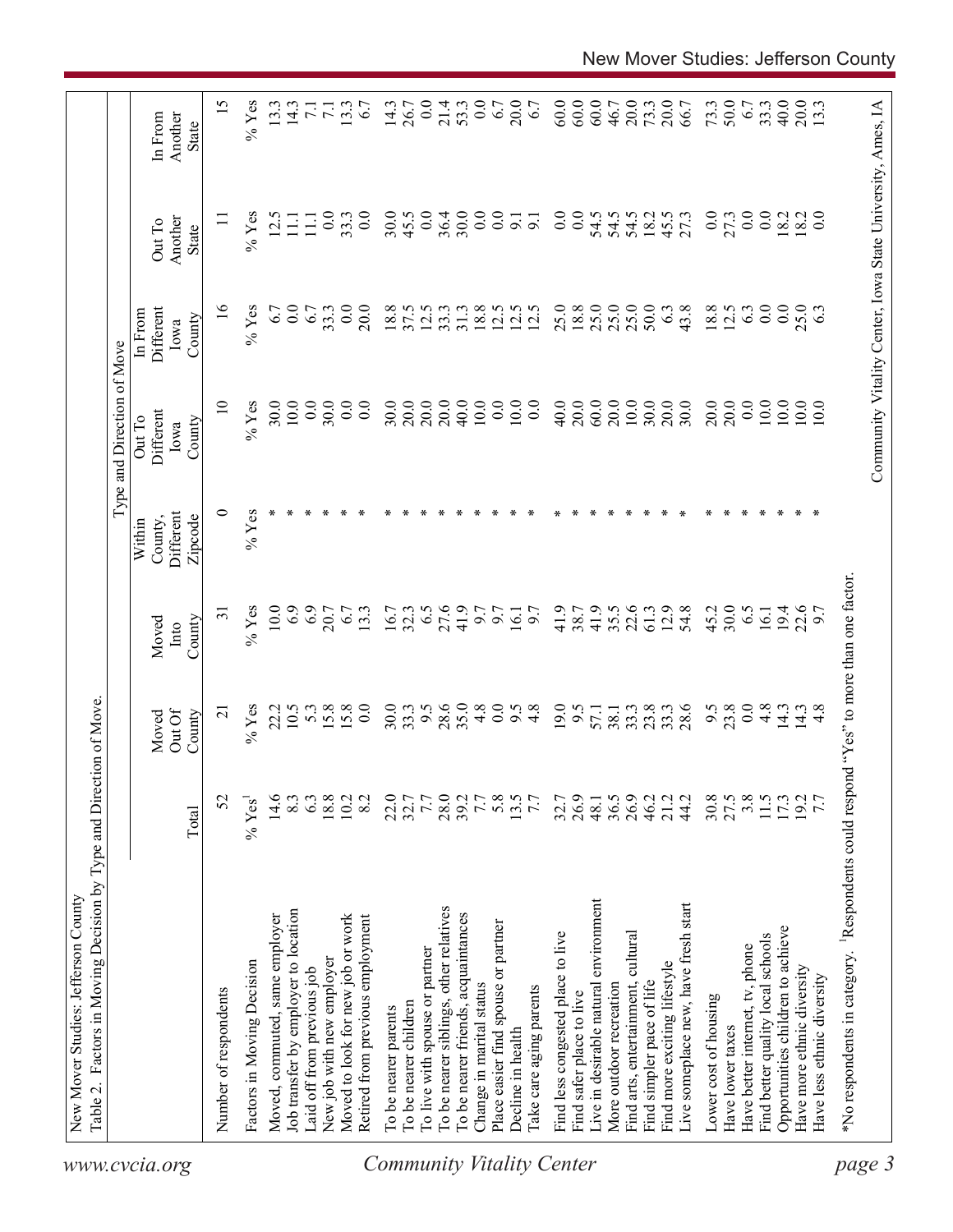|                                  | Table 2. Factors in Moving Decision by Type and Direction of Move                                  |           |                           |                         |                                           | Type and Direction of Move            |                                        |                                                            |                             |
|----------------------------------|----------------------------------------------------------------------------------------------------|-----------|---------------------------|-------------------------|-------------------------------------------|---------------------------------------|----------------------------------------|------------------------------------------------------------|-----------------------------|
| www.cvcia.org                    |                                                                                                    | Total     | Out Of<br>County<br>Moved | County<br>Moved<br>Into | Different<br>County,<br>Zipcode<br>Within | Different<br>Out To<br>County<br>Iowa | Different<br>In From<br>County<br>lowa | Another<br>Out To<br>State                                 | Another<br>In From<br>State |
|                                  | Number of respondents                                                                              | 52        | $\overline{\Omega}$       | $\overline{31}$         | 0                                         | $\overline{10}$                       | $\frac{8}{1}$                          |                                                            | 15                          |
|                                  | Factors in Moving Decision                                                                         | $\%$ Yes' | $%$ Yes                   | $%$ Yes                 | $%$ Yes                                   | $%$ Yes                               | $%$ Yes                                | $%$ Yes                                                    | $%$ Yes                     |
|                                  | Moved, commuted, same employer                                                                     | 14.6      | 22.2                      | 10.0                    |                                           | 30.0                                  | 6.7                                    | 12.5                                                       | 13.3                        |
|                                  | Job transfer by employer to location                                                               | 8.3       | 10.5                      | 6.9                     |                                           | 10.0                                  | 0.0                                    | $\Xi$                                                      | 14.3                        |
|                                  | aid off from previous job                                                                          | 6.3       | 5.3                       | 6.9                     |                                           | 0.0                                   | 6.7                                    | $\Xi$                                                      | $\overline{71}$             |
|                                  | New job with new employer                                                                          | 18.8      |                           | 20.7                    |                                           | 30.0                                  | 33.3                                   | 0.0                                                        | $\overline{z}$              |
|                                  | Moved to look for new job or work                                                                  | 10.2      | 15.8                      | 6.7                     |                                           | 0.0                                   | 0.0                                    | 33.3                                                       | 13.3                        |
|                                  | Retired from previous employment                                                                   | 8.2       | 0.0                       | 13.3                    |                                           | 0.0                                   | 20.0                                   | 0.0                                                        | 67                          |
| <b>Community Vitality Center</b> | To be nearer parents                                                                               | 22.0      | 30.0                      | 16.7                    |                                           | 30.0                                  | 18.8                                   | 30.0                                                       | 14.3                        |
|                                  | To be nearer children                                                                              | 32.7      | 33.3                      | 32.3                    |                                           | 20.0                                  | 37.5                                   | 45.5                                                       | 26.7                        |
|                                  | To live with spouse or partner                                                                     | 7.7       | 6.6                       | 6.5                     |                                           | 20.0                                  | 12.5                                   | 0.0                                                        | 0.0                         |
|                                  | To be nearer siblings, other relatives                                                             |           | 28.6                      | 27.6                    |                                           | 20.0                                  | 33.3                                   | 36.4                                                       | 21.4                        |
|                                  | To be nearer friends, acquaintances                                                                | 28.0      | 35.0                      | 41.9                    |                                           | 40.0                                  | 31.3                                   | 30.0                                                       | 53.3                        |
|                                  | Change in marital status                                                                           | 7.7       | 4.8                       | 6.6                     |                                           | $10.0$                                | 18.8                                   | $\overline{0}$ .                                           | 0.0                         |
|                                  | Place easier find spouse or partner                                                                | 5.8       | 0.0                       | 6.7                     |                                           | 0.0                                   | 12.5                                   | $\overline{0.0}$                                           | $6.7$                       |
|                                  | Decline in health                                                                                  | 13.5      | 9.5                       | 16.1                    |                                           | 10.0                                  | 12.5                                   | $\overline{9}$ .                                           | 20.0                        |
|                                  | Take care aging parents                                                                            | 7.7       | 4.8                       | 6.7                     |                                           | 0.0                                   | 12.5                                   | $\overline{5}$                                             | 6.7                         |
|                                  |                                                                                                    |           |                           |                         |                                           |                                       |                                        |                                                            |                             |
|                                  | Find less congested place to live                                                                  | 32.7      | 19.0                      | 41.9                    |                                           | 40.0                                  | 25.0                                   | $0.0\,$                                                    | 60.0                        |
|                                  | Find safer place to live                                                                           | 26.9      | 9.5                       | 38.7                    |                                           | 20.0                                  | 18.8                                   | $\overline{0.0}$                                           | 60.0                        |
|                                  | Live in desirable natural environment                                                              | 48.1      | 57.1                      | 41.9                    |                                           | 60.0                                  | 25.0                                   | 54.5                                                       | 60.0                        |
|                                  | More outdoor recreation                                                                            | 36.5      | 38.1                      | 35.5                    |                                           | 20.0                                  | 25.0                                   | 54.5                                                       | 46.7                        |
|                                  | Find arts, entertainment, cultural                                                                 |           | 33.3                      | 22.6                    |                                           | $10.0$                                | 25.0                                   | 54.5                                                       | 20.0                        |
|                                  | Find simpler pace of life                                                                          | 46.2      | 23.8                      | 61.3                    |                                           | 30.0                                  | 50.0                                   | 18.2                                                       | 73.3                        |
|                                  | Find more exciting lifestyle                                                                       | 21.2      |                           | 12.9                    |                                           | 20.0                                  | 6.3                                    | 45.5                                                       | 20.0                        |
|                                  | Live someplace new, have fresh start                                                               | 44.2      | $33.3$<br>$28.6$          | 54.8                    |                                           | 30.0                                  | 43.8                                   | 27.3                                                       | 66.7                        |
|                                  | Lower cost of housing                                                                              | 30.8      |                           | 45.2                    |                                           | 20.0                                  | 18.8                                   | 0.0                                                        | 73.3                        |
|                                  | Have lower taxes                                                                                   | 27.5      | $9.\overline{5}$<br>23.8  | 30.0                    |                                           | 20.0                                  | 12.5                                   | 27.3                                                       | 50.0                        |
|                                  | Have better internet, tv, phone                                                                    | 3.8       | 0.0                       | 6.5                     |                                           | 0.0                                   | 6.3                                    | 0.0                                                        | 6.7                         |
|                                  | Find better quality local schools                                                                  | 11.5      | 4.8                       | 16.1                    |                                           | 10.0                                  | $0.0\,$                                | 0.0                                                        | 33.3                        |
|                                  | Opportunities children to achieve                                                                  |           | 14.3                      | 19.4                    |                                           | 10.0                                  | 0.0                                    | 18.2                                                       | 40.0                        |
|                                  | Have more ethnic diversity                                                                         | 173       | 14.3                      | 22.6                    |                                           | 10.0                                  | 25.0                                   | 18.2                                                       | 20.0                        |
|                                  | Have less ethnic diversity                                                                         |           | 4.8                       | 6.7                     |                                           | 10.0                                  | 6.3                                    | $\overline{0.0}$                                           | 13.3                        |
| page 3                           | *No respondents in category. <sup>1</sup> Respondents could respond "Yes" to more than one factor. |           |                           |                         |                                           |                                       |                                        |                                                            |                             |
|                                  |                                                                                                    |           |                           |                         |                                           |                                       |                                        |                                                            |                             |
|                                  |                                                                                                    |           |                           |                         |                                           |                                       |                                        | Community Vitality Center, Iowa State University, Ames, IA |                             |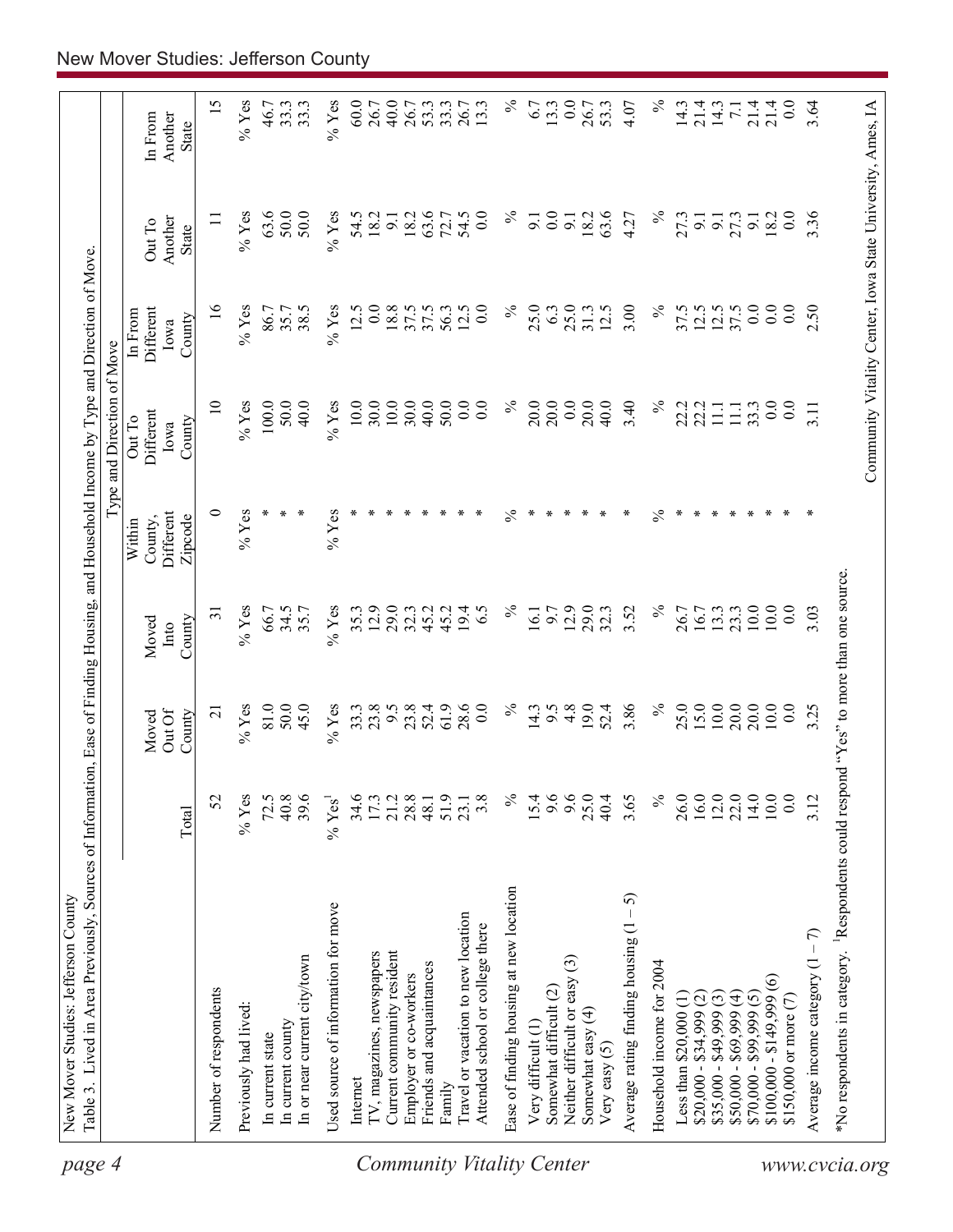| page 4                    | Table 3. Lived in Area Previously, Sources of Informatio<br>New Mover Studies: Jefferson County   |                      |                           |                         |                                           | n, Ease of Finding Housing, and Household Income by Type and Direction of Move |                                        |                                                            |                             |
|---------------------------|---------------------------------------------------------------------------------------------------|----------------------|---------------------------|-------------------------|-------------------------------------------|--------------------------------------------------------------------------------|----------------------------------------|------------------------------------------------------------|-----------------------------|
|                           |                                                                                                   |                      |                           |                         |                                           | Type and Direction of Move                                                     |                                        |                                                            |                             |
|                           |                                                                                                   | Total                | Out Of<br>County<br>Moved | County<br>Moved<br>Into | Different<br>Zipcode<br>County,<br>Within | Different<br>Out To<br>County<br>Iowa                                          | Different<br>In From<br>County<br>Iowa | Another<br>Out To<br>State                                 | Another<br>In From<br>State |
|                           |                                                                                                   |                      | $\overline{c}$            | $\overline{31}$         | 0                                         | $\overline{10}$                                                                |                                        |                                                            |                             |
|                           | Number of respondents                                                                             | 52                   |                           |                         |                                           |                                                                                | $\frac{6}{1}$                          |                                                            | 15                          |
|                           | Previously had lived:                                                                             | $\%$ Yes             | $%$ Yes                   | $%$ Yes                 | $%$ Yes                                   | $%$ Yes                                                                        | $%$ Yes                                | $%$ Yes                                                    | $%$ Yes                     |
|                           | In current state                                                                                  | 72.5                 | 81.0                      | 66.7                    |                                           | 100.0                                                                          | 86.7                                   | 63.6                                                       | 46.7                        |
|                           | In current county                                                                                 | 40.8                 | 50.0                      | 34.5                    |                                           | 50.0                                                                           | 35.7                                   | 50.0                                                       | 33.3                        |
|                           | In or near current city/town                                                                      | 39.6                 | 45.0                      | 35.7                    |                                           | 40.0                                                                           | 38.5                                   | 50.0                                                       | 33.3                        |
|                           | Used source of information for move                                                               | $%$ Yes <sup>1</sup> | $%$ Yes                   | $%$ Yes                 | $%$ Yes                                   | $%$ Yes                                                                        | $%$ Yes                                | $%$ Yes                                                    | $%$ Yes                     |
|                           | Internet                                                                                          | 34.6                 | 33.3                      | 35.3                    |                                           | 10.0                                                                           | 12.5                                   | 54.5                                                       | 60.0                        |
|                           | TV, magazines, newspapers                                                                         | 17.3                 | 23.8                      | 12.9                    |                                           | 30.0                                                                           | 0.0                                    | 18.2                                                       | 26.7                        |
|                           | Current community resident                                                                        | 21.2                 | 9.5                       | 29.0                    |                                           | $10.0$                                                                         | 18.8                                   | 9.1                                                        | 40.0                        |
|                           | Employer or co-workers                                                                            | 28.8                 | 23.8                      | 32.3                    |                                           | 30.0                                                                           | 37.5                                   | 18.2                                                       | 26.7                        |
|                           | Friends and acquaintances                                                                         | 48.1                 | 52.4                      | 45.2                    |                                           | 40.0                                                                           | 37.5                                   | 63.6                                                       | 53.3                        |
|                           | Family                                                                                            | 51.9                 | 61.9                      | 45.2                    |                                           | 50.0                                                                           | 56.3                                   | 72.7                                                       | 33.3                        |
|                           | Travel or vacation to new location                                                                | 23.1                 | 28.6                      | 19.4                    |                                           | 0.0                                                                            | 12.5                                   | 54.5                                                       | 26.7<br>13.3                |
|                           | Attended school or college there                                                                  | 3.8                  | $_{0.0}$                  | 6.5                     |                                           | 0.0                                                                            | 0.0                                    | 0.0                                                        |                             |
| Community Vitality Center | Ease of finding housing at new location                                                           | $\%$                 | $\%$                      | $\%$                    | న                                         | $\%$                                                                           | $\%$                                   | $\%$                                                       | $\%$                        |
|                           | Very difficult (1)                                                                                | 15.4                 | 14.3                      | $\overline{61}$         |                                           | 20.0                                                                           | 25.0                                   | 9.1                                                        | 6.7                         |
|                           | Somewhat difficult (2)                                                                            | 9.6                  | 6.6                       | 6.6                     |                                           | 20.0                                                                           | 6.3                                    | $\overline{0.0}$                                           | 13.3                        |
|                           | $\odot$<br>Neither difficult or easy                                                              | 9.6                  | 4.8                       | 12.9                    |                                           | 0.0                                                                            | 25.0                                   | $\overline{9}$ .                                           | 0.0                         |
|                           | Somewhat easy (4)                                                                                 | 25.0                 | 19.0                      | 29.0                    |                                           | 20.0                                                                           | 31.3                                   | 18.2                                                       | 26.7                        |
|                           | Very easy $(5)$                                                                                   | 40.4                 | 52.4                      | 32.3                    |                                           | 40.0                                                                           | 12.5                                   | 63.6                                                       | 53.3                        |
|                           | 5<br>Average rating finding housing (1                                                            | 3.65                 | 3.86                      | 3.52                    | ⊀                                         | 3.40                                                                           | 3.00                                   | 4.27                                                       | 4.07                        |
|                           | Household income for 2004                                                                         | $\%$                 | $\%$                      | $\lesssim$              | $\frac{5}{6}$                             | $\%$                                                                           | $\%$                                   | $\%$                                                       | $\%$                        |
|                           | Less than $$20,000$ (1)                                                                           | 26.0                 | 25.0                      | 26.7                    | ∗                                         | 22.2                                                                           | 37.5                                   | 27.3                                                       | 14.3                        |
|                           | $$20,000 - $34,999$ (2)                                                                           | 16.0                 | 15.0                      | 16.7                    |                                           | 22.2                                                                           | 12.5                                   | 9.1                                                        | 21.4                        |
|                           | $$35,000 - $49,999(3)$                                                                            | 12.0                 | $10.0\,$                  | 13.3                    |                                           | 11.1                                                                           | 12.5                                   | $\overline{9}$ .                                           | 14.3                        |
|                           | $$50,000 - $69,999(4)$                                                                            | 22.0                 | 20.0                      | 23.3                    |                                           | $\Xi$                                                                          | 37.5                                   | 27.3                                                       |                             |
|                           | $$70,000 - $99,999 (5)$                                                                           | 14.0                 | 20.0                      | 10.0                    |                                           | 33.3                                                                           | 0.0                                    | $9.1$<br>$18.2$                                            | 21.4                        |
|                           | $$100,000 - $149,999(6)$                                                                          | $10.0\,$             | $10.0\,$                  | 10.0                    |                                           | 0.0                                                                            | 0.0                                    |                                                            | 21.4                        |
|                           | \$150,000 or more (7)                                                                             | 0.0                  | 0.0                       | 0.0                     |                                           | $\overline{0}$ .                                                               | 0.0                                    | 0.0                                                        | 0.0                         |
|                           | Average income category $(1 - 7)$                                                                 | 3.12                 | 3.25                      | 3.03                    |                                           | 3.11                                                                           | 2.50                                   | 336                                                        | 3.64                        |
|                           | *No respondents in category. <sup>1</sup> Respondents could respond "Yes" to more than one source |                      |                           |                         |                                           |                                                                                |                                        |                                                            |                             |
| www.cvcia.org             |                                                                                                   |                      |                           |                         |                                           |                                                                                |                                        | Community Vitality Center, Iowa State University, Ames, IA |                             |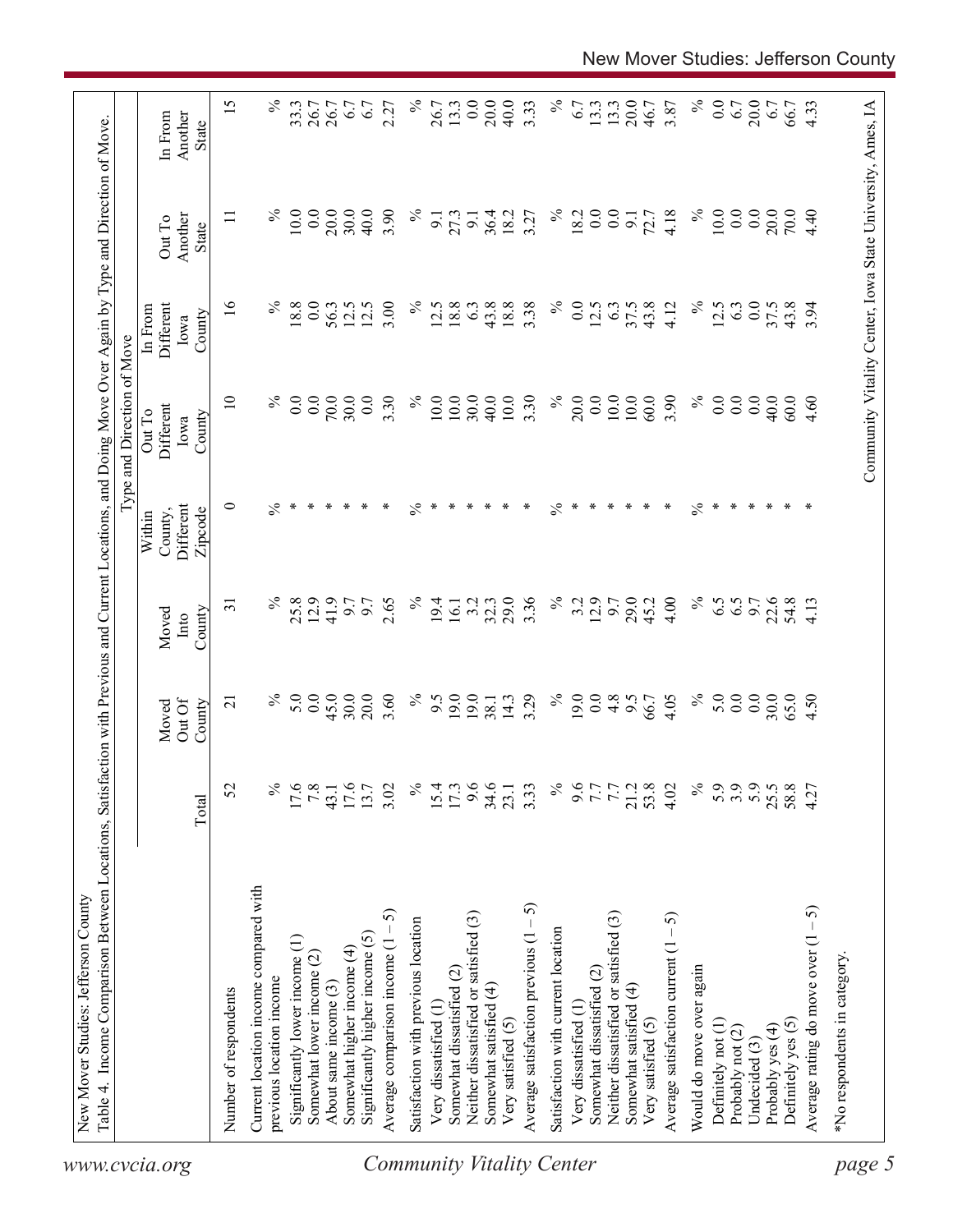| $\overline{16}$<br>$\%$<br>$\%$<br>$\%$<br>$\%$<br>0.0<br>18.8<br>$\overline{0.0}$<br>3.00<br>18.8<br>43.8<br>18.8<br>$\overline{0}$ .<br>56.3<br>12.5<br>12.5<br>12.5<br>6.3<br>3.38<br>12.5<br>63<br>37.5<br>43.8<br>12.5<br>6.3<br>37.5<br>43.8<br>3.94<br>Different<br>4.12<br>In From<br>County<br>Iowa<br>$\%$<br>10.0<br>30.0<br>$\frac{5}{6}$<br>20.0<br>10.0<br>$\%$<br>$\overline{10}$<br>70.0<br>30.0<br>0.0<br>3.30<br>$\%$<br>10.0<br>$10.0\,$<br>3.30<br>0.0<br>10.0<br>60.0<br>3.90<br>0.0<br>0.0<br>0.0<br>0.0<br>40.0<br>0.0<br>40.0<br>4.60<br>60.0<br>Different<br>Out To<br>County<br>Iowa<br>ᅌ<br>℅<br>℅<br>∗<br>∗<br>Different<br>$\%$<br>$\ast$<br>∗<br>∗<br>∗<br>∗<br>$\%$<br>∗<br>∗<br>∗<br>∗<br>$\ast$<br>∗<br>∗<br>∗<br>∗<br>∗<br>∗<br>∗<br>∗<br>∗<br>∗<br>∗<br>$\ast$<br>Zipcode<br>County,<br>Within<br>25.8<br>3.2<br>29.0<br>3.36<br>$\%$<br>12.9<br>29.0<br>$\%$<br>6.5<br>℅<br>12.9<br>41.9<br>2.65<br>$\%$<br>19.4<br>32.3<br>3.2<br>45.2<br>4.00<br>6.5<br>9.7<br>22.6<br>54.8<br>9.7<br>6.7<br>4.13<br>0.7<br>16.1<br>$\overline{31}$<br>County<br>Moved<br>Into<br>$\%$<br>$\%$<br>5.0<br>45.0<br>19.0<br>19.0<br>$\%$<br>0.0<br>0.0<br>30.0<br>20.0<br>3.60<br>$\%$<br>3.29<br>19.0<br>0.0<br>4.8<br>5.0<br>0.0<br>30.0<br>9.5<br>14.3<br>6.6<br>4.05<br>65.0<br>4.50<br>66.7<br>38.1<br>Out Of<br>$\overline{c}$<br>Moved<br>County<br>$\frac{17.6}{7.8}$<br>$\frac{6}{6}$<br>$5.9$<br>$5.9$<br>$5.9$<br>43.1<br>$\%$<br>25.5<br>$\frac{5}{6}$<br>17.6<br>13.7<br>3.02<br>$9.6$<br>34.6<br>23.1<br>$\%$<br>15.4<br>3.33<br>58.8<br>$7.7$<br>$7.7$<br>21.2<br>53.8<br>4.02<br>4.27<br>52<br>Total<br>Current location income compared with<br>Average satisfaction previous $(1 - 5)$<br>Average rating do move over $(1 - 5)$<br>ନ<br>Neither dissatisfied or satisfied (3)<br>Neither dissatisfied or satisfied (3)<br>Average satisfaction current $(1 - 5)$<br>Satisfaction with previous location<br>Satisfaction with current location<br>Significantly higher income (5)<br>Average comparison income (1 -<br>Significantly lower income (1)<br>Somewhat higher income (4)<br>Somewhat lower income (2)<br>Would do move over again<br>Somewhat dissatisfied (2)<br>Somewhat dissatisfied (2)<br>previous location income<br>About same income (3)<br>Somewhat satisfied (4)<br>Somewhat satisfied (4)<br>Number of respondents<br>Very dissatisfied (1)<br>Very dissatisfied (1<br>Very satisfied (5)<br>Definitely yes (5)<br>Definitely not (1)<br>Very satisfied (5)<br>Probably yes (4)<br>Probably not (2)<br>Undecided (3)<br>www.cvcia.org | Type and Direction of Move |                            |                                    |
|-------------------------------------------------------------------------------------------------------------------------------------------------------------------------------------------------------------------------------------------------------------------------------------------------------------------------------------------------------------------------------------------------------------------------------------------------------------------------------------------------------------------------------------------------------------------------------------------------------------------------------------------------------------------------------------------------------------------------------------------------------------------------------------------------------------------------------------------------------------------------------------------------------------------------------------------------------------------------------------------------------------------------------------------------------------------------------------------------------------------------------------------------------------------------------------------------------------------------------------------------------------------------------------------------------------------------------------------------------------------------------------------------------------------------------------------------------------------------------------------------------------------------------------------------------------------------------------------------------------------------------------------------------------------------------------------------------------------------------------------------------------------------------------------------------------------------------------------------------------------------------------------------------------------------------------------------------------------------------------------------------------------------------------------------------------------------------------------------------------------------------------------------------------------------------------------------------------------------------------------------------------------------------------------------------------------------------------------------------------------------------------------------------------------------------------------------------------------------------------------------------------------------------------------------------------------------------------------------|----------------------------|----------------------------|------------------------------------|
|                                                                                                                                                                                                                                                                                                                                                                                                                                                                                                                                                                                                                                                                                                                                                                                                                                                                                                                                                                                                                                                                                                                                                                                                                                                                                                                                                                                                                                                                                                                                                                                                                                                                                                                                                                                                                                                                                                                                                                                                                                                                                                                                                                                                                                                                                                                                                                                                                                                                                                                                                                                                 |                            | Another<br>Out To<br>State | Another<br>In From<br><b>State</b> |
|                                                                                                                                                                                                                                                                                                                                                                                                                                                                                                                                                                                                                                                                                                                                                                                                                                                                                                                                                                                                                                                                                                                                                                                                                                                                                                                                                                                                                                                                                                                                                                                                                                                                                                                                                                                                                                                                                                                                                                                                                                                                                                                                                                                                                                                                                                                                                                                                                                                                                                                                                                                                 |                            | Ξ                          | 15                                 |
|                                                                                                                                                                                                                                                                                                                                                                                                                                                                                                                                                                                                                                                                                                                                                                                                                                                                                                                                                                                                                                                                                                                                                                                                                                                                                                                                                                                                                                                                                                                                                                                                                                                                                                                                                                                                                                                                                                                                                                                                                                                                                                                                                                                                                                                                                                                                                                                                                                                                                                                                                                                                 |                            |                            |                                    |
|                                                                                                                                                                                                                                                                                                                                                                                                                                                                                                                                                                                                                                                                                                                                                                                                                                                                                                                                                                                                                                                                                                                                                                                                                                                                                                                                                                                                                                                                                                                                                                                                                                                                                                                                                                                                                                                                                                                                                                                                                                                                                                                                                                                                                                                                                                                                                                                                                                                                                                                                                                                                 |                            | $\%$                       | ℅                                  |
| <b>Community Vitality Center</b>                                                                                                                                                                                                                                                                                                                                                                                                                                                                                                                                                                                                                                                                                                                                                                                                                                                                                                                                                                                                                                                                                                                                                                                                                                                                                                                                                                                                                                                                                                                                                                                                                                                                                                                                                                                                                                                                                                                                                                                                                                                                                                                                                                                                                                                                                                                                                                                                                                                                                                                                                                |                            | 10.0                       | 33.3                               |
|                                                                                                                                                                                                                                                                                                                                                                                                                                                                                                                                                                                                                                                                                                                                                                                                                                                                                                                                                                                                                                                                                                                                                                                                                                                                                                                                                                                                                                                                                                                                                                                                                                                                                                                                                                                                                                                                                                                                                                                                                                                                                                                                                                                                                                                                                                                                                                                                                                                                                                                                                                                                 |                            | 0.0                        | 26.7                               |
|                                                                                                                                                                                                                                                                                                                                                                                                                                                                                                                                                                                                                                                                                                                                                                                                                                                                                                                                                                                                                                                                                                                                                                                                                                                                                                                                                                                                                                                                                                                                                                                                                                                                                                                                                                                                                                                                                                                                                                                                                                                                                                                                                                                                                                                                                                                                                                                                                                                                                                                                                                                                 |                            | 20.0                       | 26.7                               |
|                                                                                                                                                                                                                                                                                                                                                                                                                                                                                                                                                                                                                                                                                                                                                                                                                                                                                                                                                                                                                                                                                                                                                                                                                                                                                                                                                                                                                                                                                                                                                                                                                                                                                                                                                                                                                                                                                                                                                                                                                                                                                                                                                                                                                                                                                                                                                                                                                                                                                                                                                                                                 |                            | 30.0                       | 67                                 |
|                                                                                                                                                                                                                                                                                                                                                                                                                                                                                                                                                                                                                                                                                                                                                                                                                                                                                                                                                                                                                                                                                                                                                                                                                                                                                                                                                                                                                                                                                                                                                                                                                                                                                                                                                                                                                                                                                                                                                                                                                                                                                                                                                                                                                                                                                                                                                                                                                                                                                                                                                                                                 |                            | 40.0                       | 6.7                                |
|                                                                                                                                                                                                                                                                                                                                                                                                                                                                                                                                                                                                                                                                                                                                                                                                                                                                                                                                                                                                                                                                                                                                                                                                                                                                                                                                                                                                                                                                                                                                                                                                                                                                                                                                                                                                                                                                                                                                                                                                                                                                                                                                                                                                                                                                                                                                                                                                                                                                                                                                                                                                 |                            | 3.90                       | 2.27                               |
|                                                                                                                                                                                                                                                                                                                                                                                                                                                                                                                                                                                                                                                                                                                                                                                                                                                                                                                                                                                                                                                                                                                                                                                                                                                                                                                                                                                                                                                                                                                                                                                                                                                                                                                                                                                                                                                                                                                                                                                                                                                                                                                                                                                                                                                                                                                                                                                                                                                                                                                                                                                                 |                            | $\%$                       | $\%$                               |
|                                                                                                                                                                                                                                                                                                                                                                                                                                                                                                                                                                                                                                                                                                                                                                                                                                                                                                                                                                                                                                                                                                                                                                                                                                                                                                                                                                                                                                                                                                                                                                                                                                                                                                                                                                                                                                                                                                                                                                                                                                                                                                                                                                                                                                                                                                                                                                                                                                                                                                                                                                                                 |                            | $\overline{5}$             | 26.7                               |
|                                                                                                                                                                                                                                                                                                                                                                                                                                                                                                                                                                                                                                                                                                                                                                                                                                                                                                                                                                                                                                                                                                                                                                                                                                                                                                                                                                                                                                                                                                                                                                                                                                                                                                                                                                                                                                                                                                                                                                                                                                                                                                                                                                                                                                                                                                                                                                                                                                                                                                                                                                                                 |                            | 27.3                       | 13.3                               |
|                                                                                                                                                                                                                                                                                                                                                                                                                                                                                                                                                                                                                                                                                                                                                                                                                                                                                                                                                                                                                                                                                                                                                                                                                                                                                                                                                                                                                                                                                                                                                                                                                                                                                                                                                                                                                                                                                                                                                                                                                                                                                                                                                                                                                                                                                                                                                                                                                                                                                                                                                                                                 |                            | $\overline{9}$ .           | 0.0                                |
|                                                                                                                                                                                                                                                                                                                                                                                                                                                                                                                                                                                                                                                                                                                                                                                                                                                                                                                                                                                                                                                                                                                                                                                                                                                                                                                                                                                                                                                                                                                                                                                                                                                                                                                                                                                                                                                                                                                                                                                                                                                                                                                                                                                                                                                                                                                                                                                                                                                                                                                                                                                                 |                            | 36.4                       | 20.0                               |
|                                                                                                                                                                                                                                                                                                                                                                                                                                                                                                                                                                                                                                                                                                                                                                                                                                                                                                                                                                                                                                                                                                                                                                                                                                                                                                                                                                                                                                                                                                                                                                                                                                                                                                                                                                                                                                                                                                                                                                                                                                                                                                                                                                                                                                                                                                                                                                                                                                                                                                                                                                                                 |                            | 18.2                       | 40.0                               |
|                                                                                                                                                                                                                                                                                                                                                                                                                                                                                                                                                                                                                                                                                                                                                                                                                                                                                                                                                                                                                                                                                                                                                                                                                                                                                                                                                                                                                                                                                                                                                                                                                                                                                                                                                                                                                                                                                                                                                                                                                                                                                                                                                                                                                                                                                                                                                                                                                                                                                                                                                                                                 |                            | 3.27                       | 3.33                               |
|                                                                                                                                                                                                                                                                                                                                                                                                                                                                                                                                                                                                                                                                                                                                                                                                                                                                                                                                                                                                                                                                                                                                                                                                                                                                                                                                                                                                                                                                                                                                                                                                                                                                                                                                                                                                                                                                                                                                                                                                                                                                                                                                                                                                                                                                                                                                                                                                                                                                                                                                                                                                 |                            | $\%$                       | $\%$                               |
|                                                                                                                                                                                                                                                                                                                                                                                                                                                                                                                                                                                                                                                                                                                                                                                                                                                                                                                                                                                                                                                                                                                                                                                                                                                                                                                                                                                                                                                                                                                                                                                                                                                                                                                                                                                                                                                                                                                                                                                                                                                                                                                                                                                                                                                                                                                                                                                                                                                                                                                                                                                                 |                            | 18.2                       | 6.7                                |
|                                                                                                                                                                                                                                                                                                                                                                                                                                                                                                                                                                                                                                                                                                                                                                                                                                                                                                                                                                                                                                                                                                                                                                                                                                                                                                                                                                                                                                                                                                                                                                                                                                                                                                                                                                                                                                                                                                                                                                                                                                                                                                                                                                                                                                                                                                                                                                                                                                                                                                                                                                                                 |                            | 0.0                        | 13.3                               |
|                                                                                                                                                                                                                                                                                                                                                                                                                                                                                                                                                                                                                                                                                                                                                                                                                                                                                                                                                                                                                                                                                                                                                                                                                                                                                                                                                                                                                                                                                                                                                                                                                                                                                                                                                                                                                                                                                                                                                                                                                                                                                                                                                                                                                                                                                                                                                                                                                                                                                                                                                                                                 |                            | 0.0                        | 13.3                               |
|                                                                                                                                                                                                                                                                                                                                                                                                                                                                                                                                                                                                                                                                                                                                                                                                                                                                                                                                                                                                                                                                                                                                                                                                                                                                                                                                                                                                                                                                                                                                                                                                                                                                                                                                                                                                                                                                                                                                                                                                                                                                                                                                                                                                                                                                                                                                                                                                                                                                                                                                                                                                 |                            | 9.1                        | 20.0                               |
|                                                                                                                                                                                                                                                                                                                                                                                                                                                                                                                                                                                                                                                                                                                                                                                                                                                                                                                                                                                                                                                                                                                                                                                                                                                                                                                                                                                                                                                                                                                                                                                                                                                                                                                                                                                                                                                                                                                                                                                                                                                                                                                                                                                                                                                                                                                                                                                                                                                                                                                                                                                                 |                            | 72.7                       | 46.7                               |
|                                                                                                                                                                                                                                                                                                                                                                                                                                                                                                                                                                                                                                                                                                                                                                                                                                                                                                                                                                                                                                                                                                                                                                                                                                                                                                                                                                                                                                                                                                                                                                                                                                                                                                                                                                                                                                                                                                                                                                                                                                                                                                                                                                                                                                                                                                                                                                                                                                                                                                                                                                                                 |                            | 4.18                       | 3.87                               |
|                                                                                                                                                                                                                                                                                                                                                                                                                                                                                                                                                                                                                                                                                                                                                                                                                                                                                                                                                                                                                                                                                                                                                                                                                                                                                                                                                                                                                                                                                                                                                                                                                                                                                                                                                                                                                                                                                                                                                                                                                                                                                                                                                                                                                                                                                                                                                                                                                                                                                                                                                                                                 |                            | $\%$                       | $\%$                               |
|                                                                                                                                                                                                                                                                                                                                                                                                                                                                                                                                                                                                                                                                                                                                                                                                                                                                                                                                                                                                                                                                                                                                                                                                                                                                                                                                                                                                                                                                                                                                                                                                                                                                                                                                                                                                                                                                                                                                                                                                                                                                                                                                                                                                                                                                                                                                                                                                                                                                                                                                                                                                 |                            | 10.0                       | $\overline{0}$ .                   |
|                                                                                                                                                                                                                                                                                                                                                                                                                                                                                                                                                                                                                                                                                                                                                                                                                                                                                                                                                                                                                                                                                                                                                                                                                                                                                                                                                                                                                                                                                                                                                                                                                                                                                                                                                                                                                                                                                                                                                                                                                                                                                                                                                                                                                                                                                                                                                                                                                                                                                                                                                                                                 |                            | 0.0                        | 6.7                                |
|                                                                                                                                                                                                                                                                                                                                                                                                                                                                                                                                                                                                                                                                                                                                                                                                                                                                                                                                                                                                                                                                                                                                                                                                                                                                                                                                                                                                                                                                                                                                                                                                                                                                                                                                                                                                                                                                                                                                                                                                                                                                                                                                                                                                                                                                                                                                                                                                                                                                                                                                                                                                 |                            | 0.0                        | 20.0                               |
|                                                                                                                                                                                                                                                                                                                                                                                                                                                                                                                                                                                                                                                                                                                                                                                                                                                                                                                                                                                                                                                                                                                                                                                                                                                                                                                                                                                                                                                                                                                                                                                                                                                                                                                                                                                                                                                                                                                                                                                                                                                                                                                                                                                                                                                                                                                                                                                                                                                                                                                                                                                                 |                            | 20.0                       | 67                                 |
|                                                                                                                                                                                                                                                                                                                                                                                                                                                                                                                                                                                                                                                                                                                                                                                                                                                                                                                                                                                                                                                                                                                                                                                                                                                                                                                                                                                                                                                                                                                                                                                                                                                                                                                                                                                                                                                                                                                                                                                                                                                                                                                                                                                                                                                                                                                                                                                                                                                                                                                                                                                                 |                            | 70.0                       | 66.7                               |
|                                                                                                                                                                                                                                                                                                                                                                                                                                                                                                                                                                                                                                                                                                                                                                                                                                                                                                                                                                                                                                                                                                                                                                                                                                                                                                                                                                                                                                                                                                                                                                                                                                                                                                                                                                                                                                                                                                                                                                                                                                                                                                                                                                                                                                                                                                                                                                                                                                                                                                                                                                                                 |                            | 4.40                       | 4.33                               |
| *No respondents in category                                                                                                                                                                                                                                                                                                                                                                                                                                                                                                                                                                                                                                                                                                                                                                                                                                                                                                                                                                                                                                                                                                                                                                                                                                                                                                                                                                                                                                                                                                                                                                                                                                                                                                                                                                                                                                                                                                                                                                                                                                                                                                                                                                                                                                                                                                                                                                                                                                                                                                                                                                     |                            |                            |                                    |
| Community Vitality Center, Iowa State University, Ames, IA<br>page 5                                                                                                                                                                                                                                                                                                                                                                                                                                                                                                                                                                                                                                                                                                                                                                                                                                                                                                                                                                                                                                                                                                                                                                                                                                                                                                                                                                                                                                                                                                                                                                                                                                                                                                                                                                                                                                                                                                                                                                                                                                                                                                                                                                                                                                                                                                                                                                                                                                                                                                                            |                            |                            |                                    |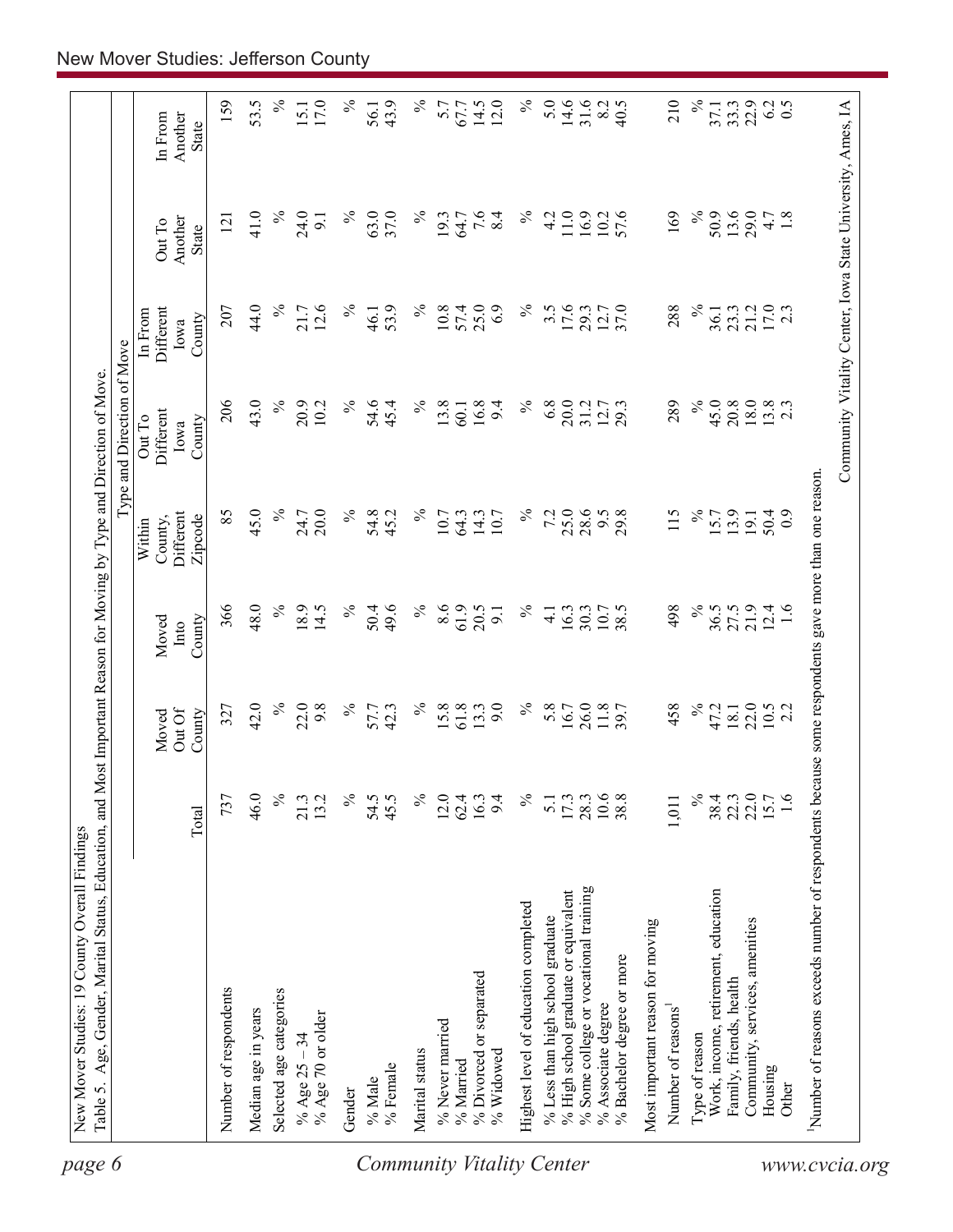| $\%$<br>$\%$<br>14.6<br>$\%$<br>159<br>53.5<br>$\%$<br>$\%$<br>5.0<br>31.6<br>210<br>17.0<br>43.9<br>14.5<br>12.0<br>8.2<br>40.5<br>22.9<br>6.2<br>0.5<br>5.7<br>67.7<br>33.3<br>15.1<br>56.1<br>37.1<br>Another<br>In From<br>State<br>$\%$<br>$\%$<br>63.0<br>37.0<br>$\%$<br>$\%$<br>$\%$<br>50.9<br>13.6<br>29.0<br>41.0<br>24.0<br>$\overline{7.6}$<br>11.0<br>16.9<br>57.6<br>169<br>4.7<br>1.8<br>19.3<br>64.7<br>8.4<br>4.2<br>10.2<br>$\overline{9}$<br>121<br>Another<br>Out To<br><b>State</b><br>$\%$<br>$\%$<br>$\%$<br>17.6<br>$\approx$<br>17.0<br>2.3<br>44.0<br>12.6<br>$\%$<br>57.4<br>25.0<br>6.9<br>$3.\overline{5}$<br>37.0<br>288<br>21.2<br>207<br>21.7<br>53.9<br>10.8<br>29.3<br>12.7<br>23.3<br>Different<br>46.1<br>36.1<br>In From<br>County<br>Iowa<br>206<br>43.0<br>$\%$<br>$\%$<br>$\%$<br>45.0<br>20.9<br>$\%$<br>54.6<br>$\%$<br>13.8<br>16.8<br>6.8<br>20.0<br>289<br>20.8<br>18.0<br>$13.8$<br>2.3<br>10.2<br>45.4<br>9.4<br>31.2<br>12.7<br>60.1<br>Different<br>Out To<br>County<br>Iowa<br>$\%$<br>45.0<br>$\%$<br>$\%$<br>25.0<br>85<br>20.0<br>$\%$<br>54.8<br>45.2<br>7.2<br>28.6<br>29.8<br>115<br>$\%$<br>14.3<br>9.5<br>15.7<br>13.9<br><b>Different</b><br>10.7<br>64.3<br>10.7<br>50.4<br>24.7<br>$\ddot{0}$<br>19.1<br>Zipcode<br>County,<br>Within<br>$\%$<br>$\%$<br>366<br>48.0<br>18.9<br>$\%$<br>8.6<br>61.9<br>$\%$<br>21.9<br>14.5<br>$\%$<br>50.4<br>49.6<br>20.5<br>498<br>27.5<br>$12.4$<br>1.6<br>16.3<br>38.5<br>36.5<br>9.1<br>$\frac{1}{4}$<br>30.3<br>10.7<br>Moved<br>County<br>Into<br>$\%$<br>$\%$<br>22.0<br>42.0<br>22.0<br>$\%$<br>$\%$<br>9.0<br>$\%$<br>5.8<br>26.0<br>458<br>9.8<br>57.7<br>42.3<br>$15.8$<br>61.8<br>11.8<br>47.2<br>$10.5$<br>2.2<br>13.3<br>16.7<br>18.1<br>327<br>Out Of<br>County<br>Moved<br>$\%$<br>$\%$<br>$10.6$<br>38.4<br>22.0<br>22.0<br>15.7<br>1.6<br>46.0<br>13.2<br>$\%$<br>54.5<br>45.5<br>$\%$<br>12.0<br>62.4<br>9.4<br>$\%$<br>$17.3$<br>28.3<br>38.8<br>737<br>21.3<br>16.3<br>5.1<br>1,011<br>Total<br>% Some college or vocational training<br>% High school graduate or equivalent<br>Work, income, retirement, education<br>Highest level of education completed<br>% Less than high school graduate<br>Community, services, amenities<br>Most important reason for moving<br>% Bachelor degree or more<br>% Divorced or separated<br>Family, friends, health<br>Number of respondents<br>Selected age categories<br>% Associate degree<br>Number of reasons<br>Median age in years<br>% Age 70 or older<br>% Never married<br>Type of reason<br>% Age $25 - 34$<br>Marital status<br>% Widowed<br>% Married<br>% Female<br>Housing<br>% Male<br>Other<br>Gender | Number of reasons exceeds number of respondents because some respondents gave more than one reason. | Type and Direction of Move |  |
|-----------------------------------------------------------------------------------------------------------------------------------------------------------------------------------------------------------------------------------------------------------------------------------------------------------------------------------------------------------------------------------------------------------------------------------------------------------------------------------------------------------------------------------------------------------------------------------------------------------------------------------------------------------------------------------------------------------------------------------------------------------------------------------------------------------------------------------------------------------------------------------------------------------------------------------------------------------------------------------------------------------------------------------------------------------------------------------------------------------------------------------------------------------------------------------------------------------------------------------------------------------------------------------------------------------------------------------------------------------------------------------------------------------------------------------------------------------------------------------------------------------------------------------------------------------------------------------------------------------------------------------------------------------------------------------------------------------------------------------------------------------------------------------------------------------------------------------------------------------------------------------------------------------------------------------------------------------------------------------------------------------------------------------------------------------------------------------------------------------------------------------------------------------------------------------------------------------------------------------------------------------------------------------------------------------------------------------------------------------------------------------------------------------------------------------------------------------------------------------------------------------------------------------------------------------------------------------------------------------------------------------------------------------------------------------|-----------------------------------------------------------------------------------------------------|----------------------------|--|
|                                                                                                                                                                                                                                                                                                                                                                                                                                                                                                                                                                                                                                                                                                                                                                                                                                                                                                                                                                                                                                                                                                                                                                                                                                                                                                                                                                                                                                                                                                                                                                                                                                                                                                                                                                                                                                                                                                                                                                                                                                                                                                                                                                                                                                                                                                                                                                                                                                                                                                                                                                                                                                                                                   |                                                                                                     |                            |  |
|                                                                                                                                                                                                                                                                                                                                                                                                                                                                                                                                                                                                                                                                                                                                                                                                                                                                                                                                                                                                                                                                                                                                                                                                                                                                                                                                                                                                                                                                                                                                                                                                                                                                                                                                                                                                                                                                                                                                                                                                                                                                                                                                                                                                                                                                                                                                                                                                                                                                                                                                                                                                                                                                                   |                                                                                                     |                            |  |
|                                                                                                                                                                                                                                                                                                                                                                                                                                                                                                                                                                                                                                                                                                                                                                                                                                                                                                                                                                                                                                                                                                                                                                                                                                                                                                                                                                                                                                                                                                                                                                                                                                                                                                                                                                                                                                                                                                                                                                                                                                                                                                                                                                                                                                                                                                                                                                                                                                                                                                                                                                                                                                                                                   |                                                                                                     |                            |  |
|                                                                                                                                                                                                                                                                                                                                                                                                                                                                                                                                                                                                                                                                                                                                                                                                                                                                                                                                                                                                                                                                                                                                                                                                                                                                                                                                                                                                                                                                                                                                                                                                                                                                                                                                                                                                                                                                                                                                                                                                                                                                                                                                                                                                                                                                                                                                                                                                                                                                                                                                                                                                                                                                                   |                                                                                                     |                            |  |
|                                                                                                                                                                                                                                                                                                                                                                                                                                                                                                                                                                                                                                                                                                                                                                                                                                                                                                                                                                                                                                                                                                                                                                                                                                                                                                                                                                                                                                                                                                                                                                                                                                                                                                                                                                                                                                                                                                                                                                                                                                                                                                                                                                                                                                                                                                                                                                                                                                                                                                                                                                                                                                                                                   |                                                                                                     |                            |  |
|                                                                                                                                                                                                                                                                                                                                                                                                                                                                                                                                                                                                                                                                                                                                                                                                                                                                                                                                                                                                                                                                                                                                                                                                                                                                                                                                                                                                                                                                                                                                                                                                                                                                                                                                                                                                                                                                                                                                                                                                                                                                                                                                                                                                                                                                                                                                                                                                                                                                                                                                                                                                                                                                                   |                                                                                                     |                            |  |
|                                                                                                                                                                                                                                                                                                                                                                                                                                                                                                                                                                                                                                                                                                                                                                                                                                                                                                                                                                                                                                                                                                                                                                                                                                                                                                                                                                                                                                                                                                                                                                                                                                                                                                                                                                                                                                                                                                                                                                                                                                                                                                                                                                                                                                                                                                                                                                                                                                                                                                                                                                                                                                                                                   |                                                                                                     |                            |  |
|                                                                                                                                                                                                                                                                                                                                                                                                                                                                                                                                                                                                                                                                                                                                                                                                                                                                                                                                                                                                                                                                                                                                                                                                                                                                                                                                                                                                                                                                                                                                                                                                                                                                                                                                                                                                                                                                                                                                                                                                                                                                                                                                                                                                                                                                                                                                                                                                                                                                                                                                                                                                                                                                                   |                                                                                                     |                            |  |
|                                                                                                                                                                                                                                                                                                                                                                                                                                                                                                                                                                                                                                                                                                                                                                                                                                                                                                                                                                                                                                                                                                                                                                                                                                                                                                                                                                                                                                                                                                                                                                                                                                                                                                                                                                                                                                                                                                                                                                                                                                                                                                                                                                                                                                                                                                                                                                                                                                                                                                                                                                                                                                                                                   |                                                                                                     |                            |  |
|                                                                                                                                                                                                                                                                                                                                                                                                                                                                                                                                                                                                                                                                                                                                                                                                                                                                                                                                                                                                                                                                                                                                                                                                                                                                                                                                                                                                                                                                                                                                                                                                                                                                                                                                                                                                                                                                                                                                                                                                                                                                                                                                                                                                                                                                                                                                                                                                                                                                                                                                                                                                                                                                                   |                                                                                                     |                            |  |
|                                                                                                                                                                                                                                                                                                                                                                                                                                                                                                                                                                                                                                                                                                                                                                                                                                                                                                                                                                                                                                                                                                                                                                                                                                                                                                                                                                                                                                                                                                                                                                                                                                                                                                                                                                                                                                                                                                                                                                                                                                                                                                                                                                                                                                                                                                                                                                                                                                                                                                                                                                                                                                                                                   |                                                                                                     |                            |  |
|                                                                                                                                                                                                                                                                                                                                                                                                                                                                                                                                                                                                                                                                                                                                                                                                                                                                                                                                                                                                                                                                                                                                                                                                                                                                                                                                                                                                                                                                                                                                                                                                                                                                                                                                                                                                                                                                                                                                                                                                                                                                                                                                                                                                                                                                                                                                                                                                                                                                                                                                                                                                                                                                                   |                                                                                                     |                            |  |
|                                                                                                                                                                                                                                                                                                                                                                                                                                                                                                                                                                                                                                                                                                                                                                                                                                                                                                                                                                                                                                                                                                                                                                                                                                                                                                                                                                                                                                                                                                                                                                                                                                                                                                                                                                                                                                                                                                                                                                                                                                                                                                                                                                                                                                                                                                                                                                                                                                                                                                                                                                                                                                                                                   |                                                                                                     |                            |  |
|                                                                                                                                                                                                                                                                                                                                                                                                                                                                                                                                                                                                                                                                                                                                                                                                                                                                                                                                                                                                                                                                                                                                                                                                                                                                                                                                                                                                                                                                                                                                                                                                                                                                                                                                                                                                                                                                                                                                                                                                                                                                                                                                                                                                                                                                                                                                                                                                                                                                                                                                                                                                                                                                                   |                                                                                                     |                            |  |
|                                                                                                                                                                                                                                                                                                                                                                                                                                                                                                                                                                                                                                                                                                                                                                                                                                                                                                                                                                                                                                                                                                                                                                                                                                                                                                                                                                                                                                                                                                                                                                                                                                                                                                                                                                                                                                                                                                                                                                                                                                                                                                                                                                                                                                                                                                                                                                                                                                                                                                                                                                                                                                                                                   |                                                                                                     |                            |  |
|                                                                                                                                                                                                                                                                                                                                                                                                                                                                                                                                                                                                                                                                                                                                                                                                                                                                                                                                                                                                                                                                                                                                                                                                                                                                                                                                                                                                                                                                                                                                                                                                                                                                                                                                                                                                                                                                                                                                                                                                                                                                                                                                                                                                                                                                                                                                                                                                                                                                                                                                                                                                                                                                                   |                                                                                                     |                            |  |
|                                                                                                                                                                                                                                                                                                                                                                                                                                                                                                                                                                                                                                                                                                                                                                                                                                                                                                                                                                                                                                                                                                                                                                                                                                                                                                                                                                                                                                                                                                                                                                                                                                                                                                                                                                                                                                                                                                                                                                                                                                                                                                                                                                                                                                                                                                                                                                                                                                                                                                                                                                                                                                                                                   |                                                                                                     |                            |  |
|                                                                                                                                                                                                                                                                                                                                                                                                                                                                                                                                                                                                                                                                                                                                                                                                                                                                                                                                                                                                                                                                                                                                                                                                                                                                                                                                                                                                                                                                                                                                                                                                                                                                                                                                                                                                                                                                                                                                                                                                                                                                                                                                                                                                                                                                                                                                                                                                                                                                                                                                                                                                                                                                                   |                                                                                                     |                            |  |
|                                                                                                                                                                                                                                                                                                                                                                                                                                                                                                                                                                                                                                                                                                                                                                                                                                                                                                                                                                                                                                                                                                                                                                                                                                                                                                                                                                                                                                                                                                                                                                                                                                                                                                                                                                                                                                                                                                                                                                                                                                                                                                                                                                                                                                                                                                                                                                                                                                                                                                                                                                                                                                                                                   |                                                                                                     |                            |  |
|                                                                                                                                                                                                                                                                                                                                                                                                                                                                                                                                                                                                                                                                                                                                                                                                                                                                                                                                                                                                                                                                                                                                                                                                                                                                                                                                                                                                                                                                                                                                                                                                                                                                                                                                                                                                                                                                                                                                                                                                                                                                                                                                                                                                                                                                                                                                                                                                                                                                                                                                                                                                                                                                                   |                                                                                                     |                            |  |
|                                                                                                                                                                                                                                                                                                                                                                                                                                                                                                                                                                                                                                                                                                                                                                                                                                                                                                                                                                                                                                                                                                                                                                                                                                                                                                                                                                                                                                                                                                                                                                                                                                                                                                                                                                                                                                                                                                                                                                                                                                                                                                                                                                                                                                                                                                                                                                                                                                                                                                                                                                                                                                                                                   |                                                                                                     |                            |  |
|                                                                                                                                                                                                                                                                                                                                                                                                                                                                                                                                                                                                                                                                                                                                                                                                                                                                                                                                                                                                                                                                                                                                                                                                                                                                                                                                                                                                                                                                                                                                                                                                                                                                                                                                                                                                                                                                                                                                                                                                                                                                                                                                                                                                                                                                                                                                                                                                                                                                                                                                                                                                                                                                                   |                                                                                                     |                            |  |
|                                                                                                                                                                                                                                                                                                                                                                                                                                                                                                                                                                                                                                                                                                                                                                                                                                                                                                                                                                                                                                                                                                                                                                                                                                                                                                                                                                                                                                                                                                                                                                                                                                                                                                                                                                                                                                                                                                                                                                                                                                                                                                                                                                                                                                                                                                                                                                                                                                                                                                                                                                                                                                                                                   |                                                                                                     |                            |  |
|                                                                                                                                                                                                                                                                                                                                                                                                                                                                                                                                                                                                                                                                                                                                                                                                                                                                                                                                                                                                                                                                                                                                                                                                                                                                                                                                                                                                                                                                                                                                                                                                                                                                                                                                                                                                                                                                                                                                                                                                                                                                                                                                                                                                                                                                                                                                                                                                                                                                                                                                                                                                                                                                                   |                                                                                                     |                            |  |
|                                                                                                                                                                                                                                                                                                                                                                                                                                                                                                                                                                                                                                                                                                                                                                                                                                                                                                                                                                                                                                                                                                                                                                                                                                                                                                                                                                                                                                                                                                                                                                                                                                                                                                                                                                                                                                                                                                                                                                                                                                                                                                                                                                                                                                                                                                                                                                                                                                                                                                                                                                                                                                                                                   |                                                                                                     |                            |  |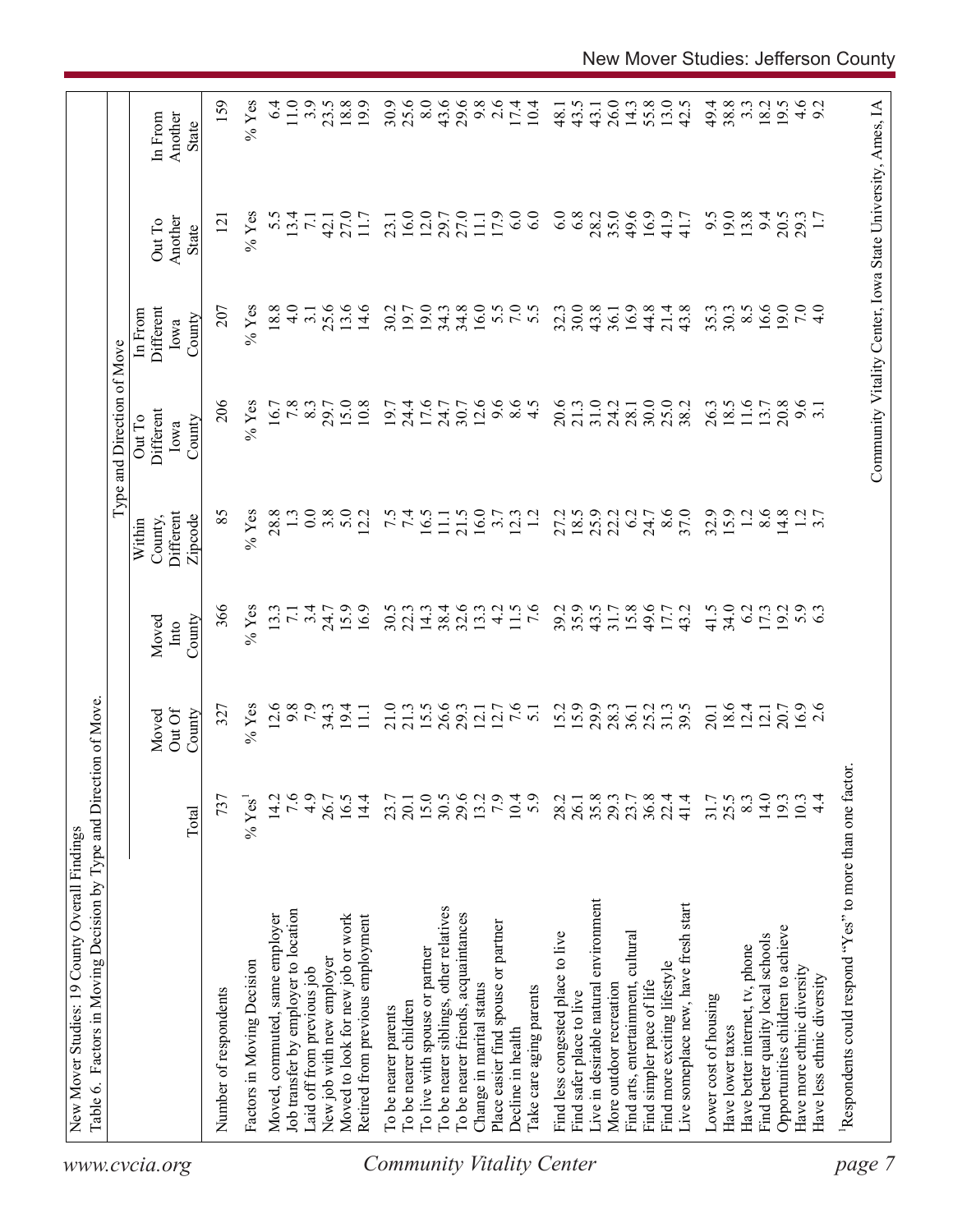|                                  | Table 6. Factors in Moving Decision by Type and Direction of Move. |                  |                           |                         |                                           | Type and Direction of Move            |                                        |                                                            |                                    |
|----------------------------------|--------------------------------------------------------------------|------------------|---------------------------|-------------------------|-------------------------------------------|---------------------------------------|----------------------------------------|------------------------------------------------------------|------------------------------------|
| www.cvcia.org                    |                                                                    | Total            | Out Of<br>County<br>Moved | County<br>Moved<br>Into | Different<br>Zipcode<br>County,<br>Within | Different<br>Out To<br>County<br>Iowa | Different<br>In From<br>County<br>Iowa | Another<br>Out To<br>State                                 | Another<br>In From<br><b>State</b> |
|                                  | Number of respondents                                              | 737              | 327                       | 366                     | 85                                        | 206                                   | 207                                    | $\overline{2}$                                             | 159                                |
|                                  | Factors in Moving Decision                                         | $\%$ Yes         | $%$ Yes                   | $%$ Yes                 | $%$ Yes                                   | $%$ Yes                               | $%$ Yes                                | $%$ Yes                                                    | $%$ Yes                            |
|                                  | Moved, commuted, same employer                                     | 14.2             | 12.6                      | 13.3                    | 28.8                                      | 16.7                                  | 18.8                                   | 5.5                                                        | 6.4                                |
|                                  | Job transfer by employer to location                               | 7.6              | 9.8                       | $\overline{7.1}$        |                                           | 7.8                                   | $\frac{0}{4}$                          | 13.4                                                       | 11.0                               |
|                                  | Laid off from previous job                                         | 4.9              | 7.9                       | 3.4                     | 0.0                                       | 8.3                                   | 3.1                                    | $\overline{71}$                                            | 3.9                                |
|                                  | New job with new employer                                          | 26.7             | $34.3$<br>19.4            | 24.7                    | 3.8                                       | 29.7                                  | 25.6                                   | 42.1                                                       | 23.5                               |
|                                  | Moved to look for new job or work                                  | 16.5             |                           | 15.9                    | 5.0                                       | 15.0                                  | 13.6                                   | 27.0                                                       | 18.8                               |
|                                  | Retired from previous employment                                   | 14.4             | $\Xi$                     | 16.9                    | 12.2                                      | 10.8                                  | 14.6                                   | 11.7                                                       | 19.9                               |
|                                  | To be nearer parents                                               | 23.7             | 21.0                      | 30.5                    |                                           | 19.7                                  | 30.2                                   | 23.1                                                       | 30.9                               |
|                                  | To be nearer children                                              | 20.1             | 21.3                      | 22.3                    | $7.\overline{5}$                          | 24.4                                  | 19.7                                   | 16.0                                                       | 25.6                               |
|                                  | To live with spouse or partner                                     |                  | 15.5                      | 14.3                    | 16.5                                      | 17.6                                  | 19.0                                   | 12.0                                                       | 8.0                                |
|                                  | To be nearer siblings, other relatives                             | $15.0$<br>$30.5$ | 26.6                      | 38.4                    | $\Xi$                                     | 24.7                                  | 34.3                                   | 29.7                                                       | 43.6                               |
|                                  | To be nearer friends, acquaintances                                | 29.6             | 29.3                      | 32.6                    | 21.5                                      | 30.7                                  | 34.8                                   | 27.0                                                       | 29.6                               |
|                                  | Change in marital status                                           | 13.2             | 12.1                      | 13.3                    | 16.0                                      | 12.6                                  | 16.0                                   | $\overline{111}$                                           | 9.8                                |
|                                  | Place easier find spouse or partner                                | 7.9              | 12.7                      | $\frac{1}{4}$           | 3.7                                       | 9.6                                   |                                        | 17.9                                                       | 2.6                                |
|                                  | Decline in health                                                  | 10.4             | 7.6                       | 11.5                    | 12.3                                      | $\frac{6}{4}$ .5                      | 5.0000                                 | 6.0                                                        | 17.4                               |
| <b>Community Vitality Center</b> | Take care aging parents                                            | 5.9              | $\overline{51}$           | $\overline{7.6}$        | $\overline{12}$                           |                                       |                                        | 6.0                                                        | 10.4                               |
|                                  | Find less congested place to live                                  | 28.2             | 15.2                      | 39.2                    | 27.2                                      | 20.6                                  | 32.3                                   | 6.0                                                        | 48.1                               |
|                                  | Find safer place to live                                           | 26.1             | 15.9                      | 35.9                    | 18.5                                      | 21.3                                  | 30.0                                   | 6.8                                                        | 43.5                               |
|                                  | Live in desirable natural environment                              | 35.8             | 29.9                      | 43.5                    | 25.9                                      | 31.0                                  | 43.8                                   | 28.2                                                       | 43.1                               |
|                                  | More outdoor recreation                                            | 29.3             | 28.3                      | 31.7                    | 22.2                                      | 24.2                                  | 36.1                                   | 35.0                                                       | 26.0                               |
|                                  | Find arts, entertainment, cultural                                 | 23.7             | 36.1                      | 15.8                    | 6.2                                       | 28.1                                  | 16.9                                   | 49.6                                                       | 14.3                               |
|                                  | Find simpler pace of life                                          | $36.8$<br>$22.4$ | 25.2                      | 49.6                    | 24.7                                      | 30.0                                  | 44.8                                   | 16.9                                                       | 55.8                               |
|                                  | Find more exciting lifestyle                                       |                  | 31.3                      | 17.7                    | 8.6                                       | 25.0                                  | 21.4                                   | 41.9                                                       | 13.0                               |
|                                  | Live someplace new, have fresh start                               | 41.4             | 39.5                      | 43.2                    | 37.0                                      | 38.2                                  | 43.8                                   | 41.7                                                       | 42.5                               |
|                                  | Lower cost of housing                                              | 31.7             | 20.1                      | 41.5                    | 32.9                                      | 26.3                                  | 35.3                                   | 9.5                                                        | 49.4                               |
|                                  | Have lower taxes                                                   | 25.5             | 18.6                      | 34.0                    | 15.9                                      | 18.5                                  | 30.3                                   | 19.0                                                       | 38.8                               |
|                                  | Have better internet, tv, phone                                    | 8.3              | 12.4                      | 6.2                     | 1.2                                       | 11.6                                  | $8.\overline{5}$                       | 13.8                                                       | $3.\overline{3}$                   |
|                                  | Find better quality local schools                                  | 14.0             | 12.1                      | 17.3                    | 8.6                                       | 13.7                                  | 16.6                                   | 94                                                         | 18.2                               |
|                                  | Opportunities children to achieve                                  | 193              | 20.7                      | 19.2                    | 14.8                                      | 20.8                                  | 19.0                                   | 20.5                                                       | 19.5                               |
|                                  | Have more ethnic diversity                                         | 10.3             | $16.9$<br>2.6             | 5.9                     |                                           | 9.6                                   | 7.0                                    | 29.3                                                       |                                    |
|                                  | Have less ethnic diversity                                         | $\frac{4}{4}$    |                           |                         | $\frac{1}{3}$ .7                          |                                       | $\frac{1}{4}$                          |                                                            | $4.6$<br>9.2                       |
| page                             | Respondents could respond "Yes" to more than one factor            |                  |                           |                         |                                           |                                       |                                        |                                                            |                                    |
|                                  |                                                                    |                  |                           |                         |                                           |                                       |                                        |                                                            |                                    |
|                                  |                                                                    |                  |                           |                         |                                           |                                       |                                        | Community Vitality Center, Iowa State University, Ames, IA |                                    |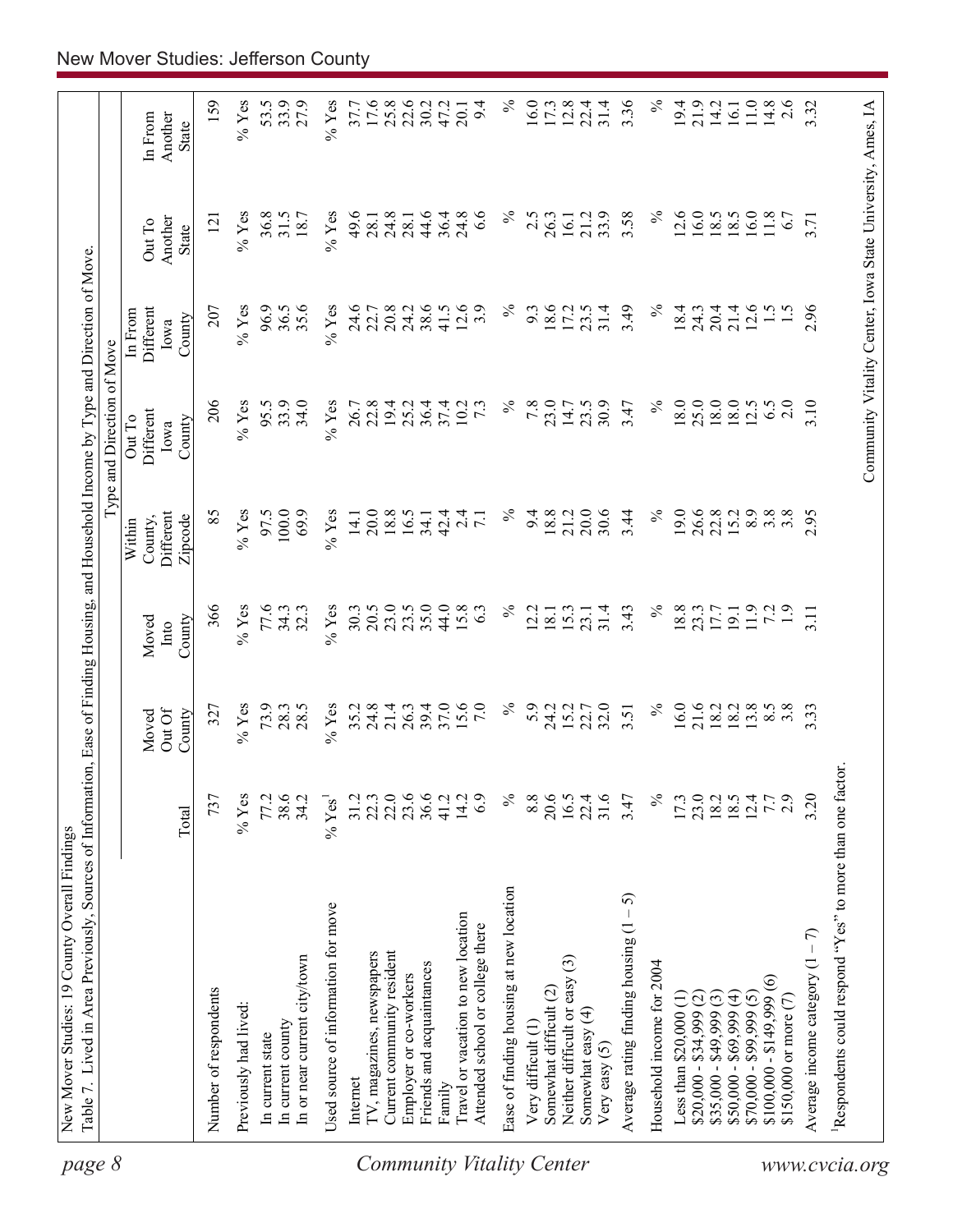| page 8                    |                                                                        |                      |                           |                         |                                           | Type and Direction of Move                                 |                                        |                            |                             |
|---------------------------|------------------------------------------------------------------------|----------------------|---------------------------|-------------------------|-------------------------------------------|------------------------------------------------------------|----------------------------------------|----------------------------|-----------------------------|
|                           |                                                                        | Total                | Out Of<br>County<br>Moved | County<br>Moved<br>Into | Different<br>Zipcode<br>County,<br>Within | Different<br>Out To<br>County<br>Iowa                      | Different<br>In From<br>County<br>Iowa | Another<br>Out To<br>State | In From<br>Another<br>State |
|                           | Number of respondents                                                  | 737                  | 327                       | 366                     | 85                                        | 206                                                        | 207                                    | $\overline{5}$             | 159                         |
|                           | Previously had lived:                                                  | $%$ Yes              | $%$ Yes                   | $%$ Yes                 | $%$ Yes                                   | $%$ Yes                                                    | $%$ Yes                                | $\%$ Yes                   | $%$ Yes                     |
|                           | In current state                                                       | 77.2                 | 73.9                      | 77.6                    | 97.5                                      | 95.5                                                       | 96.9                                   | 36.8                       | 53.5                        |
|                           | In current county                                                      | 38.6                 | 28.3                      | 34.3                    | 100.0                                     | 33.9                                                       | 36.5                                   | 31.5                       | 33.9                        |
|                           | In or near current city/town                                           | 34.2                 | 28.5                      | 32.3                    | 69.9                                      | 34.0                                                       | 35.6                                   | 18.7                       | 27.9                        |
|                           | Used source of information for move                                    | $%$ Yes <sup>1</sup> | $%$ Yes                   | $%$ Yes                 | $\%$ Yes                                  | $%$ Yes                                                    | $%$ Yes                                | $%$ Yes                    | $%$ Yes                     |
|                           | Internet                                                               | 31.2                 |                           | 30.3                    | 14.1                                      | 26.7                                                       | 24.6                                   | 49.6                       | 37.7                        |
|                           | TV, magazines, newspapers                                              | 22.3                 | $35.2$<br>$24.8$          | 20.5                    | 20.0                                      | 22.8                                                       | 22.7                                   | 28.1                       | 17.6                        |
|                           | Current community resident                                             | 22.0                 | 21.4                      | 23.0                    | 18.8                                      | 19.4                                                       | 20.8                                   | 24.8                       | $25.8$<br>$22.6$            |
|                           | Employer or co-workers                                                 | 23.6                 | 26.3                      | 23.5                    | 16.5                                      | 25.2                                                       | 24.2                                   | 28.                        |                             |
|                           | Friends and acquaintances                                              | 36.6                 | 39.4                      | 35.0                    | 34.1                                      | 36.4                                                       | 38.6                                   | 44.6                       | 30.2                        |
|                           | Family                                                                 | 41.2                 | 37.0                      | 44.0                    | 42.4                                      | 37.4                                                       | 41.5                                   | 36.4                       | 47.2                        |
| Community Vitality Center | Travel or vacation to new location<br>Attended school or college there | 14.2<br>6.9          | 15.6<br>7.0               | 15.8<br>63              | 2.4<br>$\overline{7.1}$                   | 10.2<br>$7\cdot3$                                          | 12.6<br>3.9                            | 24.8<br>6.6                | 9.4<br>20.1                 |
|                           | Ease of finding housing at new location                                | $\%$                 | $\%$                      | $\%$                    | $\%$                                      | $\%$                                                       | $\%$                                   | $\%$                       | $\%$                        |
|                           | Very difficult (1)                                                     | 8.8                  | 5.9                       | 12.2                    | 9.4                                       | 7.8                                                        | 9.3                                    | 2.5                        | 16.0                        |
|                           | Somewhat difficult (2)                                                 | 20.6                 | 24.2                      | 18.1                    | 18.8                                      | 23.0                                                       | 18.6                                   | 26.3                       | 17.3                        |
|                           | Neither difficult or easy (3)                                          | 16.5                 | 15.2                      | 15.3                    | 21.2                                      | 14.7                                                       | 17.2                                   | 16.1                       | 12.8                        |
|                           | Somewhat easy (4)<br>Very easy $(5)$                                   | 31.6<br>22.4         | 32.0<br>22.7              | 31.4<br>23.1            | 20.0<br>30.6                              | 30.9<br>23.5                                               | 31.4<br>23.5                           | 33.9<br>21.2               | 22.4<br>31.4                |
|                           | 5<br>Average rating finding housing (1                                 | 3.47                 | 3.51                      | 3.43                    | 3.44                                      | 3.47                                                       | 3.49                                   | 3.58                       | 3.36                        |
|                           | Household income for 2004                                              | $\%$                 | $\%$                      | $\%$                    | $\%$                                      | $\%$                                                       | $\%$                                   | $\%$                       | $\%$                        |
|                           | Less than $$20,000$ $(1)$                                              | 17.3                 | 16.0                      | 18.8                    | 19.0                                      | 18.0                                                       | 18.4                                   | 12.6                       | 19.4                        |
|                           | $$20,000 - $34,999 (2)$                                                | 23.0                 | 21.6                      | 23.3                    | 26.6                                      | 25.0                                                       | 24.3                                   | 16.0                       | 21.9                        |
|                           | $$35,000 - $49,999(3)$                                                 |                      | 18.2                      |                         | 22.8                                      | 18.0                                                       | 20.4                                   | 18.5                       | 14.2                        |
|                           | $$50,000 - $69,999 (4)$                                                | 18.5                 | 18.2                      | 19.1                    | 15.2                                      | 18.0                                                       | 21.4                                   | 18.5                       | 16.1                        |
|                           | $$70,000 - $99,999(5)$                                                 | 12.4                 | 13.8                      | 11.9                    | 8.9                                       | 12.5                                                       | 12.6                                   | 16.0                       | 11.0                        |
|                           | $\widehat{\circ}$<br>$$100,000 - $149,999$                             | 7.7                  | $8.\overline{5}$          | 72                      | $3.\overline{8}$                          | 6.5                                                        | $\frac{1}{5}$                          | 11.8                       | 14.8                        |
|                           | \$150,000 or more $(7)$                                                | 2.9                  | $3.\overline{8}$          | $\overline{1.9}$        | 3.8                                       | 2.0                                                        |                                        | 6.7                        | 2.6                         |
|                           | Average income category $(1 - 7)$                                      | 3.20                 | 3.33                      | 3.11                    | 2.95                                      | 3.10                                                       | 2.96                                   | 3.71                       | 3.32                        |
| www.cvcia.org             | Respondents could respond "Yes" to more than one factor.               |                      |                           |                         |                                           |                                                            |                                        |                            |                             |
|                           |                                                                        |                      |                           |                         |                                           | Community Vitality Center, Iowa State University, Ames, IA |                                        |                            |                             |
|                           |                                                                        |                      |                           |                         |                                           |                                                            |                                        |                            |                             |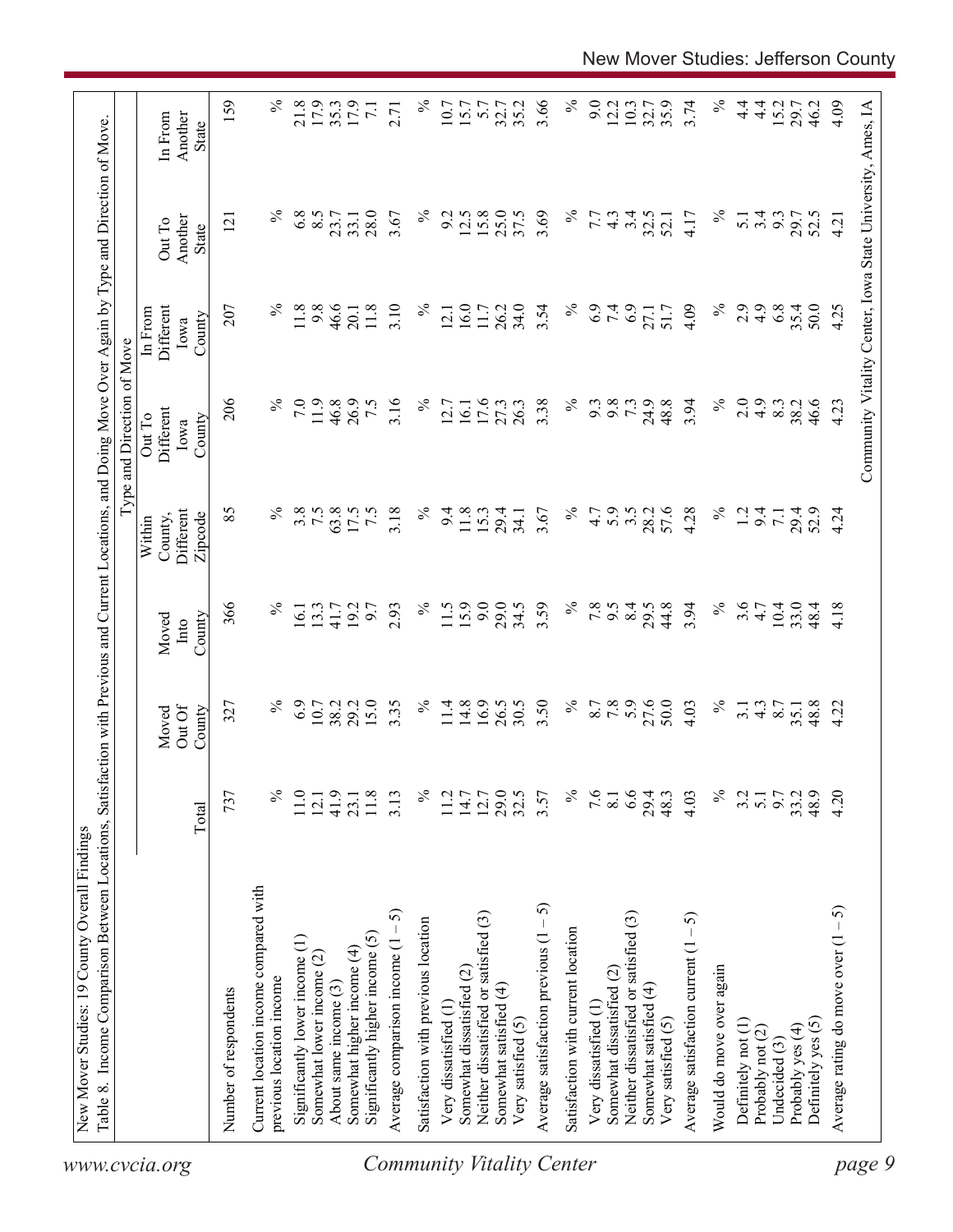| 159<br>$\%$<br>$\%$<br>$\%$<br>21.8<br>17.9<br>$\%$<br>3.66<br>9.0<br>4.09<br>35.3<br>17.9<br>35.2<br>12.2<br>10.3<br>35.9<br>3.74<br>$4\cdot$<br>15.2<br>10.7<br>15.7<br>32.7<br>32.7<br>$\frac{4}{1}$<br>29.7<br>46.2<br>Community Vitality Center, Iowa State University, Ames, IA<br>$\overline{7.1}$<br>5.7<br>2.71<br>Another<br>In From<br>State<br>$\%$<br>$\%$<br>$\%$<br>$\%$<br>6.8<br>8.5<br>28.0<br>15.8<br>25.0<br>37.5<br>3.69<br>3.4<br>3.67<br>9.2<br>12.5<br>7.7<br>32.5<br>$3.\overline{3}$<br>$4.\overline{3}$<br>4.17<br>29.7<br>52.5<br>23.7<br>33.1<br>52.1<br>$\overline{5}$ .<br>121<br>4.21<br>Another<br>Out To<br>State<br>$\%$<br>$\%$<br>2.9<br>11.8<br>9.8<br>46.6<br>3.10<br>$\%$<br>16.0<br>$\%$<br>6.9<br>7.4<br>6.9<br>4.9<br>6.8<br>35.4<br>207<br>11.8<br>26.2<br>34.0<br>3.54<br>4.09<br>50.0<br>4.25<br>11.7<br>51.7<br>Different<br>27.1<br>20.1<br>12.1<br>In From<br>County<br>Iowa<br>206<br>$\%$<br>$\%$<br>$\%$<br>7.0<br>11.9<br>3.16<br>$\%$<br>3.38<br>7.3<br>24.9<br>48.8<br>3.94<br>2.0<br>4.9<br>46.6<br>46.8<br>26.9<br>7.5<br>17.6<br>26.3<br>9.3<br>9.8<br>8.3<br>38.2<br>4.23<br>27.3<br>12.7<br>16.1<br>Different<br>Out To<br>County<br>Iowa<br>$\%$<br>57.6<br>$\%$<br>85<br>3.8<br>7.5<br>63.8<br>3.18<br>℅<br>5.9<br>3.5<br>28.2<br>4.28<br>Different<br>17.5<br>$\tilde{z}$<br>9.4<br>11.8<br>15.3<br>29.4<br>3.67<br>4.7<br>1.2<br>9.4<br>29.4<br>52.9<br>4.24<br>34.1<br>$\overline{7.1}$<br>County,<br>Zipcode<br>Within<br>11.5<br>9.0<br>$\%$<br>8.4<br>$\%$<br>3.6<br>366<br>$\%$<br>$\%$<br>29.0<br>3.59<br>7.8<br>44.8<br>3.94<br>$10.4\,$<br>2.93<br>34.5<br>9.5<br>29.5<br>33.0<br>13.3<br>19.2<br>6.6<br>4.7<br>48.4<br>4.18<br>16.1<br>41.7<br>County<br>Moved<br>$\sqrt{\frac{1}{2}}$<br>6.9<br>15.0<br>3.35<br>14.8<br>16.9<br>26.5<br>$\%$<br>7.8<br>27.6<br>50.0<br>$\%$<br>29.2<br>$\%$<br>30.5<br>3.50<br>8.7<br>$\%$<br>$\frac{4.3}{8.7}$<br>48.8<br>4.22<br>10.7<br>38.2<br>11.4<br>4.03<br>327<br>3.1<br>35.1<br>Out Of<br>County<br>Moved<br>$\%$<br>6.6<br>$\%$<br>737<br>℅<br>11.0<br>41.9<br>$\approx$<br>$11.7$<br>$14.7$<br>12.7<br>29.0<br>32.5<br>7.6<br>9.7<br>33.2<br>48.9<br>4.20<br>11.8<br>3.13<br>3.57<br>29.4<br>48.3<br>4.03<br>3.2<br>23.1<br>8.1<br>$\overline{5}$ .<br>12.1<br>Total<br>Current location income compared with<br>Average satisfaction previous $(1 - 5)$<br>Average rating do move over $(1 - 5)$<br>5<br>Neither dissatisfied or satisfied (3)<br>Neither dissatisfied or satisfied (3)<br>Average satisfaction current $(1 - 5)$<br>Satisfaction with previous location<br>Satisfaction with current location<br>Significantly higher income (5)<br>Significantly lower income (1)<br>Average comparison income (1<br>Somewhat higher income (4)<br>Somewhat lower income $(2)$<br>Would do move over again<br>Somewhat dissatisfied (2)<br>Somewhat dissatisfied (2)<br>previous location income<br>About same income (3)<br>Somewhat satisfied (4)<br>Somewhat satisfied (4)<br>Number of respondents<br>Very dissatisfied (1)<br>Very dissatisfied (1<br>Very satisfied (5)<br>Very satisfied (5)<br>Definitely yes (5)<br>Definitely not (1)<br>Probably yes (4)<br>Probably not (2)<br>Undecided (3)<br>Community Vitality Center<br>page 9<br>www.cvcia.org | Table 8. Income Comparison Between Locations, | Satisfa |  | action with Previous and Current Locations, and Doing Move Over Again by Type and Direction of Move<br>Type and Direction of Move |  |  |
|------------------------------------------------------------------------------------------------------------------------------------------------------------------------------------------------------------------------------------------------------------------------------------------------------------------------------------------------------------------------------------------------------------------------------------------------------------------------------------------------------------------------------------------------------------------------------------------------------------------------------------------------------------------------------------------------------------------------------------------------------------------------------------------------------------------------------------------------------------------------------------------------------------------------------------------------------------------------------------------------------------------------------------------------------------------------------------------------------------------------------------------------------------------------------------------------------------------------------------------------------------------------------------------------------------------------------------------------------------------------------------------------------------------------------------------------------------------------------------------------------------------------------------------------------------------------------------------------------------------------------------------------------------------------------------------------------------------------------------------------------------------------------------------------------------------------------------------------------------------------------------------------------------------------------------------------------------------------------------------------------------------------------------------------------------------------------------------------------------------------------------------------------------------------------------------------------------------------------------------------------------------------------------------------------------------------------------------------------------------------------------------------------------------------------------------------------------------------------------------------------------------------------------------------------------------------------------------------------------------------------------------------------------------------------------------------------------------------------------------------------------------------------------------------------------------------------------------------------------------------------------------------------------------------------------------------------------------------------------------------------------------------------------------------------------------------------------------------------------------------------------------------------------------------------------------------------------------------------------------------------------------------------------------|-----------------------------------------------|---------|--|-----------------------------------------------------------------------------------------------------------------------------------|--|--|
|                                                                                                                                                                                                                                                                                                                                                                                                                                                                                                                                                                                                                                                                                                                                                                                                                                                                                                                                                                                                                                                                                                                                                                                                                                                                                                                                                                                                                                                                                                                                                                                                                                                                                                                                                                                                                                                                                                                                                                                                                                                                                                                                                                                                                                                                                                                                                                                                                                                                                                                                                                                                                                                                                                                                                                                                                                                                                                                                                                                                                                                                                                                                                                                                                                                                                          |                                               |         |  |                                                                                                                                   |  |  |
|                                                                                                                                                                                                                                                                                                                                                                                                                                                                                                                                                                                                                                                                                                                                                                                                                                                                                                                                                                                                                                                                                                                                                                                                                                                                                                                                                                                                                                                                                                                                                                                                                                                                                                                                                                                                                                                                                                                                                                                                                                                                                                                                                                                                                                                                                                                                                                                                                                                                                                                                                                                                                                                                                                                                                                                                                                                                                                                                                                                                                                                                                                                                                                                                                                                                                          |                                               |         |  |                                                                                                                                   |  |  |
|                                                                                                                                                                                                                                                                                                                                                                                                                                                                                                                                                                                                                                                                                                                                                                                                                                                                                                                                                                                                                                                                                                                                                                                                                                                                                                                                                                                                                                                                                                                                                                                                                                                                                                                                                                                                                                                                                                                                                                                                                                                                                                                                                                                                                                                                                                                                                                                                                                                                                                                                                                                                                                                                                                                                                                                                                                                                                                                                                                                                                                                                                                                                                                                                                                                                                          |                                               |         |  |                                                                                                                                   |  |  |
|                                                                                                                                                                                                                                                                                                                                                                                                                                                                                                                                                                                                                                                                                                                                                                                                                                                                                                                                                                                                                                                                                                                                                                                                                                                                                                                                                                                                                                                                                                                                                                                                                                                                                                                                                                                                                                                                                                                                                                                                                                                                                                                                                                                                                                                                                                                                                                                                                                                                                                                                                                                                                                                                                                                                                                                                                                                                                                                                                                                                                                                                                                                                                                                                                                                                                          |                                               |         |  |                                                                                                                                   |  |  |
|                                                                                                                                                                                                                                                                                                                                                                                                                                                                                                                                                                                                                                                                                                                                                                                                                                                                                                                                                                                                                                                                                                                                                                                                                                                                                                                                                                                                                                                                                                                                                                                                                                                                                                                                                                                                                                                                                                                                                                                                                                                                                                                                                                                                                                                                                                                                                                                                                                                                                                                                                                                                                                                                                                                                                                                                                                                                                                                                                                                                                                                                                                                                                                                                                                                                                          |                                               |         |  |                                                                                                                                   |  |  |
|                                                                                                                                                                                                                                                                                                                                                                                                                                                                                                                                                                                                                                                                                                                                                                                                                                                                                                                                                                                                                                                                                                                                                                                                                                                                                                                                                                                                                                                                                                                                                                                                                                                                                                                                                                                                                                                                                                                                                                                                                                                                                                                                                                                                                                                                                                                                                                                                                                                                                                                                                                                                                                                                                                                                                                                                                                                                                                                                                                                                                                                                                                                                                                                                                                                                                          |                                               |         |  |                                                                                                                                   |  |  |
|                                                                                                                                                                                                                                                                                                                                                                                                                                                                                                                                                                                                                                                                                                                                                                                                                                                                                                                                                                                                                                                                                                                                                                                                                                                                                                                                                                                                                                                                                                                                                                                                                                                                                                                                                                                                                                                                                                                                                                                                                                                                                                                                                                                                                                                                                                                                                                                                                                                                                                                                                                                                                                                                                                                                                                                                                                                                                                                                                                                                                                                                                                                                                                                                                                                                                          |                                               |         |  |                                                                                                                                   |  |  |
|                                                                                                                                                                                                                                                                                                                                                                                                                                                                                                                                                                                                                                                                                                                                                                                                                                                                                                                                                                                                                                                                                                                                                                                                                                                                                                                                                                                                                                                                                                                                                                                                                                                                                                                                                                                                                                                                                                                                                                                                                                                                                                                                                                                                                                                                                                                                                                                                                                                                                                                                                                                                                                                                                                                                                                                                                                                                                                                                                                                                                                                                                                                                                                                                                                                                                          |                                               |         |  |                                                                                                                                   |  |  |
|                                                                                                                                                                                                                                                                                                                                                                                                                                                                                                                                                                                                                                                                                                                                                                                                                                                                                                                                                                                                                                                                                                                                                                                                                                                                                                                                                                                                                                                                                                                                                                                                                                                                                                                                                                                                                                                                                                                                                                                                                                                                                                                                                                                                                                                                                                                                                                                                                                                                                                                                                                                                                                                                                                                                                                                                                                                                                                                                                                                                                                                                                                                                                                                                                                                                                          |                                               |         |  |                                                                                                                                   |  |  |
|                                                                                                                                                                                                                                                                                                                                                                                                                                                                                                                                                                                                                                                                                                                                                                                                                                                                                                                                                                                                                                                                                                                                                                                                                                                                                                                                                                                                                                                                                                                                                                                                                                                                                                                                                                                                                                                                                                                                                                                                                                                                                                                                                                                                                                                                                                                                                                                                                                                                                                                                                                                                                                                                                                                                                                                                                                                                                                                                                                                                                                                                                                                                                                                                                                                                                          |                                               |         |  |                                                                                                                                   |  |  |
|                                                                                                                                                                                                                                                                                                                                                                                                                                                                                                                                                                                                                                                                                                                                                                                                                                                                                                                                                                                                                                                                                                                                                                                                                                                                                                                                                                                                                                                                                                                                                                                                                                                                                                                                                                                                                                                                                                                                                                                                                                                                                                                                                                                                                                                                                                                                                                                                                                                                                                                                                                                                                                                                                                                                                                                                                                                                                                                                                                                                                                                                                                                                                                                                                                                                                          |                                               |         |  |                                                                                                                                   |  |  |
|                                                                                                                                                                                                                                                                                                                                                                                                                                                                                                                                                                                                                                                                                                                                                                                                                                                                                                                                                                                                                                                                                                                                                                                                                                                                                                                                                                                                                                                                                                                                                                                                                                                                                                                                                                                                                                                                                                                                                                                                                                                                                                                                                                                                                                                                                                                                                                                                                                                                                                                                                                                                                                                                                                                                                                                                                                                                                                                                                                                                                                                                                                                                                                                                                                                                                          |                                               |         |  |                                                                                                                                   |  |  |
|                                                                                                                                                                                                                                                                                                                                                                                                                                                                                                                                                                                                                                                                                                                                                                                                                                                                                                                                                                                                                                                                                                                                                                                                                                                                                                                                                                                                                                                                                                                                                                                                                                                                                                                                                                                                                                                                                                                                                                                                                                                                                                                                                                                                                                                                                                                                                                                                                                                                                                                                                                                                                                                                                                                                                                                                                                                                                                                                                                                                                                                                                                                                                                                                                                                                                          |                                               |         |  |                                                                                                                                   |  |  |
|                                                                                                                                                                                                                                                                                                                                                                                                                                                                                                                                                                                                                                                                                                                                                                                                                                                                                                                                                                                                                                                                                                                                                                                                                                                                                                                                                                                                                                                                                                                                                                                                                                                                                                                                                                                                                                                                                                                                                                                                                                                                                                                                                                                                                                                                                                                                                                                                                                                                                                                                                                                                                                                                                                                                                                                                                                                                                                                                                                                                                                                                                                                                                                                                                                                                                          |                                               |         |  |                                                                                                                                   |  |  |
|                                                                                                                                                                                                                                                                                                                                                                                                                                                                                                                                                                                                                                                                                                                                                                                                                                                                                                                                                                                                                                                                                                                                                                                                                                                                                                                                                                                                                                                                                                                                                                                                                                                                                                                                                                                                                                                                                                                                                                                                                                                                                                                                                                                                                                                                                                                                                                                                                                                                                                                                                                                                                                                                                                                                                                                                                                                                                                                                                                                                                                                                                                                                                                                                                                                                                          |                                               |         |  |                                                                                                                                   |  |  |
|                                                                                                                                                                                                                                                                                                                                                                                                                                                                                                                                                                                                                                                                                                                                                                                                                                                                                                                                                                                                                                                                                                                                                                                                                                                                                                                                                                                                                                                                                                                                                                                                                                                                                                                                                                                                                                                                                                                                                                                                                                                                                                                                                                                                                                                                                                                                                                                                                                                                                                                                                                                                                                                                                                                                                                                                                                                                                                                                                                                                                                                                                                                                                                                                                                                                                          |                                               |         |  |                                                                                                                                   |  |  |
|                                                                                                                                                                                                                                                                                                                                                                                                                                                                                                                                                                                                                                                                                                                                                                                                                                                                                                                                                                                                                                                                                                                                                                                                                                                                                                                                                                                                                                                                                                                                                                                                                                                                                                                                                                                                                                                                                                                                                                                                                                                                                                                                                                                                                                                                                                                                                                                                                                                                                                                                                                                                                                                                                                                                                                                                                                                                                                                                                                                                                                                                                                                                                                                                                                                                                          |                                               |         |  |                                                                                                                                   |  |  |
|                                                                                                                                                                                                                                                                                                                                                                                                                                                                                                                                                                                                                                                                                                                                                                                                                                                                                                                                                                                                                                                                                                                                                                                                                                                                                                                                                                                                                                                                                                                                                                                                                                                                                                                                                                                                                                                                                                                                                                                                                                                                                                                                                                                                                                                                                                                                                                                                                                                                                                                                                                                                                                                                                                                                                                                                                                                                                                                                                                                                                                                                                                                                                                                                                                                                                          |                                               |         |  |                                                                                                                                   |  |  |
|                                                                                                                                                                                                                                                                                                                                                                                                                                                                                                                                                                                                                                                                                                                                                                                                                                                                                                                                                                                                                                                                                                                                                                                                                                                                                                                                                                                                                                                                                                                                                                                                                                                                                                                                                                                                                                                                                                                                                                                                                                                                                                                                                                                                                                                                                                                                                                                                                                                                                                                                                                                                                                                                                                                                                                                                                                                                                                                                                                                                                                                                                                                                                                                                                                                                                          |                                               |         |  |                                                                                                                                   |  |  |
|                                                                                                                                                                                                                                                                                                                                                                                                                                                                                                                                                                                                                                                                                                                                                                                                                                                                                                                                                                                                                                                                                                                                                                                                                                                                                                                                                                                                                                                                                                                                                                                                                                                                                                                                                                                                                                                                                                                                                                                                                                                                                                                                                                                                                                                                                                                                                                                                                                                                                                                                                                                                                                                                                                                                                                                                                                                                                                                                                                                                                                                                                                                                                                                                                                                                                          |                                               |         |  |                                                                                                                                   |  |  |
|                                                                                                                                                                                                                                                                                                                                                                                                                                                                                                                                                                                                                                                                                                                                                                                                                                                                                                                                                                                                                                                                                                                                                                                                                                                                                                                                                                                                                                                                                                                                                                                                                                                                                                                                                                                                                                                                                                                                                                                                                                                                                                                                                                                                                                                                                                                                                                                                                                                                                                                                                                                                                                                                                                                                                                                                                                                                                                                                                                                                                                                                                                                                                                                                                                                                                          |                                               |         |  |                                                                                                                                   |  |  |
|                                                                                                                                                                                                                                                                                                                                                                                                                                                                                                                                                                                                                                                                                                                                                                                                                                                                                                                                                                                                                                                                                                                                                                                                                                                                                                                                                                                                                                                                                                                                                                                                                                                                                                                                                                                                                                                                                                                                                                                                                                                                                                                                                                                                                                                                                                                                                                                                                                                                                                                                                                                                                                                                                                                                                                                                                                                                                                                                                                                                                                                                                                                                                                                                                                                                                          |                                               |         |  |                                                                                                                                   |  |  |
|                                                                                                                                                                                                                                                                                                                                                                                                                                                                                                                                                                                                                                                                                                                                                                                                                                                                                                                                                                                                                                                                                                                                                                                                                                                                                                                                                                                                                                                                                                                                                                                                                                                                                                                                                                                                                                                                                                                                                                                                                                                                                                                                                                                                                                                                                                                                                                                                                                                                                                                                                                                                                                                                                                                                                                                                                                                                                                                                                                                                                                                                                                                                                                                                                                                                                          |                                               |         |  |                                                                                                                                   |  |  |
|                                                                                                                                                                                                                                                                                                                                                                                                                                                                                                                                                                                                                                                                                                                                                                                                                                                                                                                                                                                                                                                                                                                                                                                                                                                                                                                                                                                                                                                                                                                                                                                                                                                                                                                                                                                                                                                                                                                                                                                                                                                                                                                                                                                                                                                                                                                                                                                                                                                                                                                                                                                                                                                                                                                                                                                                                                                                                                                                                                                                                                                                                                                                                                                                                                                                                          |                                               |         |  |                                                                                                                                   |  |  |
|                                                                                                                                                                                                                                                                                                                                                                                                                                                                                                                                                                                                                                                                                                                                                                                                                                                                                                                                                                                                                                                                                                                                                                                                                                                                                                                                                                                                                                                                                                                                                                                                                                                                                                                                                                                                                                                                                                                                                                                                                                                                                                                                                                                                                                                                                                                                                                                                                                                                                                                                                                                                                                                                                                                                                                                                                                                                                                                                                                                                                                                                                                                                                                                                                                                                                          |                                               |         |  |                                                                                                                                   |  |  |
|                                                                                                                                                                                                                                                                                                                                                                                                                                                                                                                                                                                                                                                                                                                                                                                                                                                                                                                                                                                                                                                                                                                                                                                                                                                                                                                                                                                                                                                                                                                                                                                                                                                                                                                                                                                                                                                                                                                                                                                                                                                                                                                                                                                                                                                                                                                                                                                                                                                                                                                                                                                                                                                                                                                                                                                                                                                                                                                                                                                                                                                                                                                                                                                                                                                                                          |                                               |         |  |                                                                                                                                   |  |  |
|                                                                                                                                                                                                                                                                                                                                                                                                                                                                                                                                                                                                                                                                                                                                                                                                                                                                                                                                                                                                                                                                                                                                                                                                                                                                                                                                                                                                                                                                                                                                                                                                                                                                                                                                                                                                                                                                                                                                                                                                                                                                                                                                                                                                                                                                                                                                                                                                                                                                                                                                                                                                                                                                                                                                                                                                                                                                                                                                                                                                                                                                                                                                                                                                                                                                                          |                                               |         |  |                                                                                                                                   |  |  |
|                                                                                                                                                                                                                                                                                                                                                                                                                                                                                                                                                                                                                                                                                                                                                                                                                                                                                                                                                                                                                                                                                                                                                                                                                                                                                                                                                                                                                                                                                                                                                                                                                                                                                                                                                                                                                                                                                                                                                                                                                                                                                                                                                                                                                                                                                                                                                                                                                                                                                                                                                                                                                                                                                                                                                                                                                                                                                                                                                                                                                                                                                                                                                                                                                                                                                          |                                               |         |  |                                                                                                                                   |  |  |
|                                                                                                                                                                                                                                                                                                                                                                                                                                                                                                                                                                                                                                                                                                                                                                                                                                                                                                                                                                                                                                                                                                                                                                                                                                                                                                                                                                                                                                                                                                                                                                                                                                                                                                                                                                                                                                                                                                                                                                                                                                                                                                                                                                                                                                                                                                                                                                                                                                                                                                                                                                                                                                                                                                                                                                                                                                                                                                                                                                                                                                                                                                                                                                                                                                                                                          |                                               |         |  |                                                                                                                                   |  |  |
|                                                                                                                                                                                                                                                                                                                                                                                                                                                                                                                                                                                                                                                                                                                                                                                                                                                                                                                                                                                                                                                                                                                                                                                                                                                                                                                                                                                                                                                                                                                                                                                                                                                                                                                                                                                                                                                                                                                                                                                                                                                                                                                                                                                                                                                                                                                                                                                                                                                                                                                                                                                                                                                                                                                                                                                                                                                                                                                                                                                                                                                                                                                                                                                                                                                                                          |                                               |         |  |                                                                                                                                   |  |  |
|                                                                                                                                                                                                                                                                                                                                                                                                                                                                                                                                                                                                                                                                                                                                                                                                                                                                                                                                                                                                                                                                                                                                                                                                                                                                                                                                                                                                                                                                                                                                                                                                                                                                                                                                                                                                                                                                                                                                                                                                                                                                                                                                                                                                                                                                                                                                                                                                                                                                                                                                                                                                                                                                                                                                                                                                                                                                                                                                                                                                                                                                                                                                                                                                                                                                                          |                                               |         |  |                                                                                                                                   |  |  |